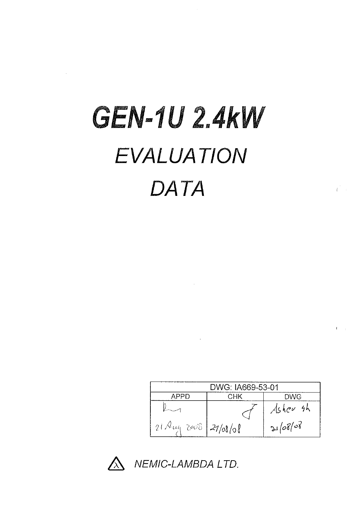# **GEN-1U 2.4KW EVALUATION** DATA

 $\mathcal{L}^{\text{max}}_{\text{max}}$  and  $\mathcal{L}^{\text{max}}_{\text{max}}$ 

 $\mathcal{L}^{\text{max}}_{\text{max}}$ 

 $\sim$ 

 $\mathcal{A}^{\mathcal{A}}$ 

| DWG: IA669-53-01               |            |            |  |  |  |  |  |
|--------------------------------|------------|------------|--|--|--|--|--|
| APPD                           | <b>CHK</b> | <b>DWG</b> |  |  |  |  |  |
|                                |            | Ashevsh    |  |  |  |  |  |
| $21 \text{Aug } 2008$ 27/08/08 |            | 21/08/08   |  |  |  |  |  |

 $\hat{C}$ 

 $\mathbf{r}$ 



NEMIC-LAMBDA LTD.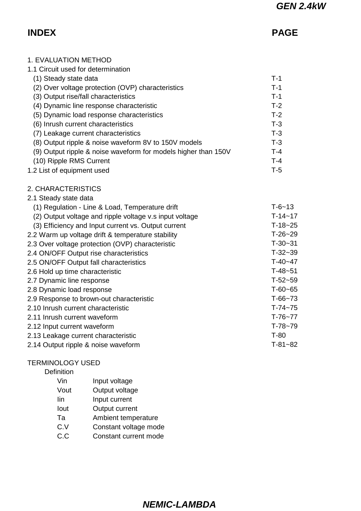# **INDEX PAGE**

| <b>1. EVALUATION METHOD</b>                                    |              |
|----------------------------------------------------------------|--------------|
| 1.1 Circuit used for determination                             |              |
| (1) Steady state data                                          | $T-1$        |
| (2) Over voltage protection (OVP) characteristics              | $T-1$        |
| (3) Output rise/fall characteristics                           | $T-1$        |
| (4) Dynamic line response characteristic                       | $T-2$        |
| (5) Dynamic load response characteristics                      | $T-2$        |
| (6) Inrush current characteristics                             | $T-3$        |
| (7) Leakage current characteristics                            | $T-3$        |
| (8) Output ripple & noise waveform 8V to 150V models           | $T-3$        |
| (9) Output ripple & noise waveform for models higher than 150V | $T-4$        |
| (10) Ripple RMS Current                                        | $T-4$        |
| 1.2 List of equipment used                                     | $T-5$        |
| 2. CHARACTERISTICS                                             |              |
| 2.1 Steady state data                                          |              |
| (1) Regulation - Line & Load, Temperature drift                | $T - 6 - 13$ |
| (2) Output voltage and ripple voltage v.s input voltage        | $T-14-17$    |
| (3) Efficiency and Input current vs. Output current            | $T-18-25$    |
| 2.2 Warm up voltage drift & temperature stability              | $T-26-29$    |
| 2.3 Over voltage protection (OVP) characteristic               | $T-30-31$    |
| 2.4 ON/OFF Output rise characteristics                         | $T-32-39$    |
| 2.5 ON/OFF Output fall characteristics                         | $T-40-47$    |
| 2.6 Hold up time characteristic                                | $T-48-51$    |
| 2.7 Dynamic line response                                      | $T-52-59$    |
| 2.8 Dynamic load response                                      | $T-60-65$    |
| 2.9 Response to brown-out characteristic                       | $T-66-73$    |
| 2.10 Inrush current characteristic                             | $T-74-75$    |
| 2.11 Inrush current waveform                                   | $T-76-77$    |
| 2.12 Input current waveform                                    | $T-78-79$    |
| 2.13 Leakage current characteristic                            | $T-80$       |
| 2.14 Output ripple & noise waveform                            | $T-81-82$    |
|                                                                |              |

# TERMINOLOGY USED

Definition

| Vin       | Input voltage         |
|-----------|-----------------------|
| Vout      | Output voltage        |
| lin       | Input current         |
| lout      | Output current        |
| Та        | Ambient temperature   |
| C.V       | Constant voltage mode |
| <u>ົດ</u> |                       |

C.C Constant current mode

# **NEMIC-LAMBDA**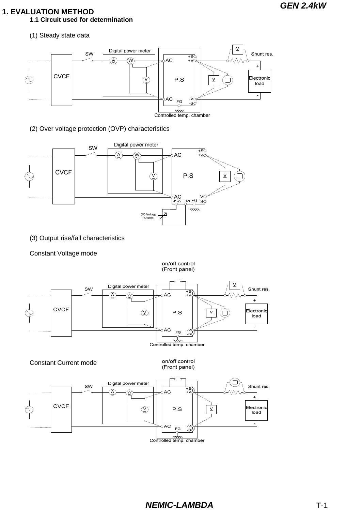# **1. EVALUATION METHOD**

**1.1 Circuit used for determination**

(1) Steady state data



(2) Over voltage protection (OVP) characteristics



(3) Output rise/fall characteristics

Constant Voltage mode

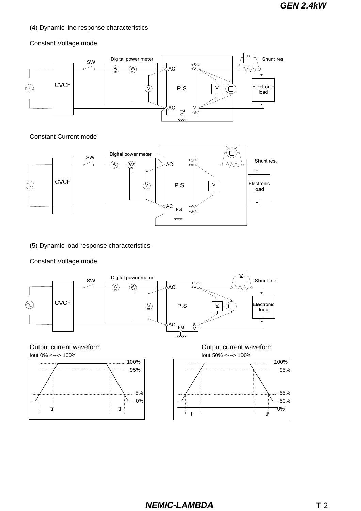#### (4) Dynamic line response characteristics

#### Constant Voltage mode



#### Constant Current mode



(5) Dynamic load response characteristics

#### Constant Voltage mode









Output current waveform **Output current waveform Output current waveform** 

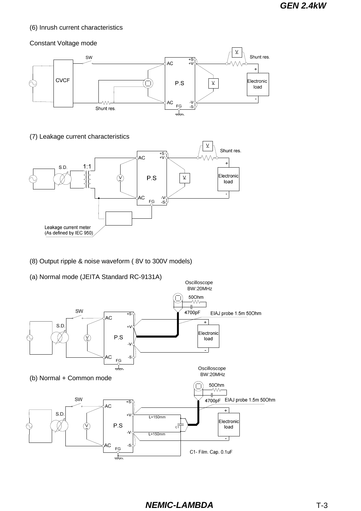#### (6) Inrush current characteristics

#### Constant Voltage mode



(7) Leakage current characteristics



- (8) Output ripple & noise waveform ( 8V to 300V models)
- (a) Normal mode (JEITA Standard RC-9131A)

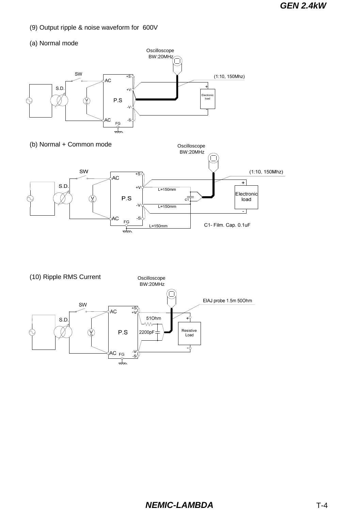- (9) Output ripple & noise waveform for 600V
- (a) Normal mode





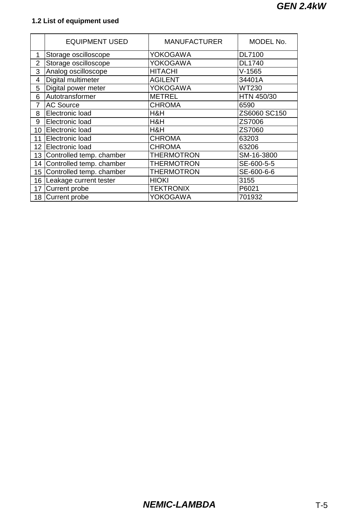# **1.2 List of equipment used**

|                 | <b>EQUIPMENT USED</b>     | <b>MANUFACTURER</b> | MODEL No.     |
|-----------------|---------------------------|---------------------|---------------|
| 1               | Storage oscilloscope      | YOKOGAWA            | <b>DL7100</b> |
| 2               | Storage oscilloscope      | YOKOGAWA            | <b>DL1740</b> |
| 3               | Analog oscilloscope       | <b>HITACHI</b>      | $V-1565$      |
| 4               | Digital multimeter        | <b>AGILENT</b>      | 34401A        |
| 5               | Digital power meter       | <b>YOKOGAWA</b>     | <b>WT230</b>  |
| 6               | Autotransformer           | <b>METREL</b>       | HTN 450/30    |
| $\overline{7}$  | <b>AC Source</b>          | <b>CHROMA</b>       | 6590          |
| 8               | Electronic load           | H&H                 | ZS6060 SC150  |
| 9               | Electronic load           | H&H                 | ZS7006        |
| 10              | Electronic load           | H&H                 | ZS7060        |
| 11              | Electronic load           | <b>CHROMA</b>       | 63203         |
| 12              | Electronic load           | <b>CHROMA</b>       | 63206         |
| 13 <sup>1</sup> | Controlled temp. chamber  | THERMOTRON          | SM-16-3800    |
| 14              | Controlled temp. chamber  | <b>THERMOTRON</b>   | SE-600-5-5    |
| 15              | Controlled temp. chamber  | <b>THERMOTRON</b>   | SE-600-6-6    |
|                 | 16 Leakage current tester | <b>HIOKI</b>        | 3155          |
| 17              | Current probe             | <b>TEKTRONIX</b>    | P6021         |
|                 | 18 Current probe          | YOKOGAWA            | 701932        |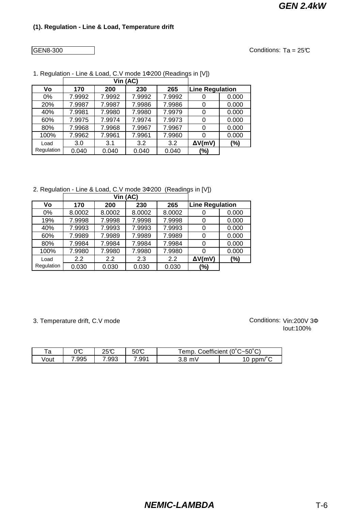GEN8-300

Conditions:  $Ta = 25C$ 

|            |        | Vin (AC) |        |        |                        |        |
|------------|--------|----------|--------|--------|------------------------|--------|
| ۷o         | 170    | 200      | 230    | 265    | <b>Line Regulation</b> |        |
| $0\%$      | 7.9992 | 7.9992   | 7.9992 | 7.9992 |                        | 0.000  |
| 20%        | 7.9987 | 7.9987   | 7.9986 | 7.9986 | 0                      | 0.000  |
| 40%        | 7.9981 | 7.9980   | 7.9980 | 7.9979 |                        | 0.000  |
| 60%        | 7.9975 | 7.9974   | 7.9974 | 7.9973 |                        | 0.000  |
| 80%        | 7.9968 | 7.9968   | 7.9967 | 7.9967 |                        | 0.000  |
| 100%       | 7.9962 | 7.9961   | 7.9961 | 7.9960 |                        | 0.000  |
| Load       | 3.0    | 3.1      | 3.2    | 3.2    | $\Delta V(mV)$         | $(\%)$ |
| Regulation | 0.040  | 0.040    | 0.040  | 0.040  | (%)                    |        |

1. Regulation - Line & Load, C.V mode 1Ф200 (Readings in [V])

2. Regulation - Line & Load, C.V mode 3Ф200 (Readings in [V])

|            |        | Vin (AC) |        |        |                        |       |
|------------|--------|----------|--------|--------|------------------------|-------|
| Vo         | 170    | 200      | 230    | 265    | <b>Line Regulation</b> |       |
| 0%         | 8.0002 | 8.0002   | 8.0002 | 8.0002 | O                      | 0.000 |
| 19%        | 7.9998 | 7.9998   | 7.9998 | 7.9998 | 0                      | 0.000 |
| 40%        | 7.9993 | 7.9993   | 7.9993 | 7.9993 | 0                      | 0.000 |
| 60%        | 7.9989 | 7.9989   | 7.9989 | 7.9989 |                        | 0.000 |
| 80%        | 7.9984 | 7.9984   | 7.9984 | 7.9984 | 0                      | 0.000 |
| 100%       | 7.9980 | 7.9980   | 7.9980 | 7.9980 |                        | 0.000 |
| Load       | 2.2    | 2.2      | 2.3    | 2.2    | $\Delta V$ (mV)        | (%)   |
| Regulation | 0.030  | 0.030    | 0.030  | 0.030  | (%)                    |       |

3. Temperature drift, C.V mode

| ⊤∩<br>d | ገሞ<br>◡◡ | າຂຕ<br>∠∪ ∪ | 50°C | ం~50°్'<br>oefficient<br>emp<br>- 771 |            |
|---------|----------|-------------|------|---------------------------------------|------------|
| √out    | .995     | .993        | .991 | mV<br><u>o</u>                        | ppm/<br>١U |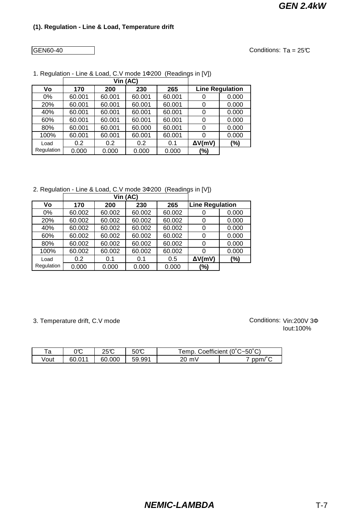GEN60-40

Conditions:  $Ta = 25C$ 

|            |        | Vin (AC) |        |        |                        |        |
|------------|--------|----------|--------|--------|------------------------|--------|
| ۷o         | 170    | 200      | 230    | 265    | <b>Line Regulation</b> |        |
| $0\%$      | 60.001 | 60.001   | 60.001 | 60.001 |                        | 0.000  |
| 20%        | 60.001 | 60.001   | 60.001 | 60.001 | 0                      | 0.000  |
| 40%        | 60.001 | 60.001   | 60.001 | 60.001 |                        | 0.000  |
| 60%        | 60.001 | 60.001   | 60.001 | 60.001 | 0                      | 0.000  |
| 80%        | 60.001 | 60.001   | 60.000 | 60.001 | 0                      | 0.000  |
| 100%       | 60.001 | 60.001   | 60.001 | 60.001 |                        | 0.000  |
| Load       | 0.2    | 0.2      | 0.2    | 0.1    | $\Delta V(mV)$         | $(\%)$ |
| Regulation | 0.000  | 0.000    | 0.000  | 0.000  | (%)                    |        |

1. Regulation - Line & Load, C.V mode 1Ф200 (Readings in [V])

2. Regulation - Line & Load, C.V mode 3Ф200 (Readings in [V])

|            |        | Vin (AC) |        |        |                        |        |
|------------|--------|----------|--------|--------|------------------------|--------|
| V٥         | 170    | 200      | 230    | 265    | <b>Line Regulation</b> |        |
| 0%         | 60.002 | 60.002   | 60.002 | 60.002 | 0                      | 0.000  |
| 20%        | 60.002 | 60.002   | 60.002 | 60.002 | 0                      | 0.000  |
| 40%        | 60.002 | 60.002   | 60.002 | 60.002 | 0                      | 0.000  |
| 60%        | 60.002 | 60.002   | 60.002 | 60.002 | 0                      | 0.000  |
| 80%        | 60.002 | 60.002   | 60.002 | 60.002 | 0                      | 0.000  |
| 100%       | 60.002 | 60.002   | 60.002 | 60.002 |                        | 0.000  |
| Load       | 0.2    | 0.1      | 0.1    | 0.5    | $\Delta V$ (mV)        | $(\%)$ |
| Regulation | 0.000  | 0.000    | 0.000  | 0.000  | (%)                    |        |

3. Temperature drift, C.V mode

| τ∩<br>d | ገሞ<br>JU | າ⊏ຕ    | 50C        | ⊺emp.     | Coefficient (0°C~50°C) |
|---------|----------|--------|------------|-----------|------------------------|
| √out    | 60.011   | 60.000 | .991<br>59 | mV<br>ንበ- | ppm/                   |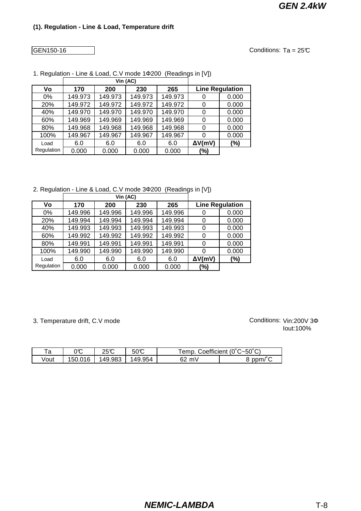#### GEN150-16

Conditions:  $Ta = 25C$ 

|            |         | Vin (AC) |         |         |                        |        |
|------------|---------|----------|---------|---------|------------------------|--------|
| Vo         | 170     | 200      | 230     | 265     | <b>Line Regulation</b> |        |
| $0\%$      | 149.973 | 149.973  | 149.973 | 149.973 |                        | 0.000  |
| 20%        | 149.972 | 149.972  | 149.972 | 149.972 |                        | 0.000  |
| 40%        | 149.970 | 149.970  | 149.970 | 149.970 |                        | 0.000  |
| 60%        | 149.969 | 149.969  | 149.969 | 149.969 |                        | 0.000  |
| 80%        | 149.968 | 149.968  | 149.968 | 149.968 |                        | 0.000  |
| 100%       | 149.967 | 149.967  | 149.967 | 149.967 |                        | 0.000  |
| Load       | 6.0     | 6.0      | 6.0     | 6.0     | $\Delta V$ (mV)        | $(\%)$ |
| Regulation | 0.000   | 0.000    | 0.000   | 0.000   | (%)                    |        |

1. Regulation - Line & Load, C.V mode 1Ф200 (Readings in [V])

2. Regulation - Line & Load, C.V mode 3Ф200 (Readings in [V])

|            |         | Vin (AC) |         |         |                        |       |
|------------|---------|----------|---------|---------|------------------------|-------|
| ۷o         | 170     | 200      | 230     | 265     | <b>Line Regulation</b> |       |
| 0%         | 149.996 | 149.996  | 149.996 | 149.996 |                        | 0.000 |
| 20%        | 149.994 | 149.994  | 149.994 | 149.994 |                        | 0.000 |
| 40%        | 149.993 | 149.993  | 149.993 | 149.993 |                        | 0.000 |
| 60%        | 149.992 | 149.992  | 149.992 | 149.992 |                        | 0.000 |
| 80%        | 149.991 | 149.991  | 149.991 | 149.991 | $\Omega$               | 0.000 |
| 100%       | 149.990 | 149.990  | 149.990 | 149.990 |                        | 0.000 |
| Load       | 6.0     | 6.0      | 6.0     | 6.0     | $\Delta V(mV)$         | (%)   |
| Regulation | 0.000   | 0.000    | 0.000   | 0.000   | (%)                    |       |

3. Temperature drift, C.V mode

| та   | ገሞ<br>◡◡     | າຂຕ     | 50 C         | ⊺emp.    | Coefficient (0°C~50°C) |
|------|--------------|---------|--------------|----------|------------------------|
| √out | ገ1 ፎ<br>50.0 | 149.983 | .954<br>149. | mV<br>62 | ppm/                   |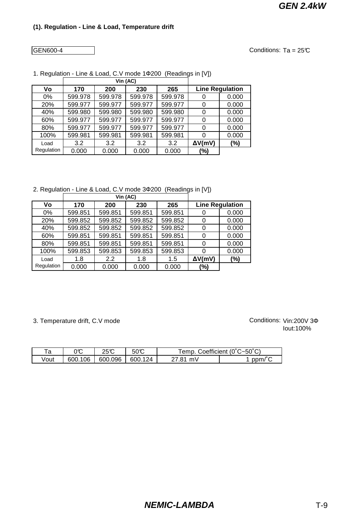GEN600-4

Conditions:  $Ta = 25C$ 

|            |         | Vin (AC) |         |         |                 |                        |
|------------|---------|----------|---------|---------|-----------------|------------------------|
| ۷o         | 170     | 200      | 230     | 265     |                 | <b>Line Regulation</b> |
| $0\%$      | 599.978 | 599.978  | 599.978 | 599.978 |                 | 0.000                  |
| 20%        | 599.977 | 599.977  | 599.977 | 599.977 |                 | 0.000                  |
| 40%        | 599.980 | 599.980  | 599.980 | 599.980 |                 | 0.000                  |
| 60%        | 599.977 | 599.977  | 599.977 | 599.977 | 0               | 0.000                  |
| 80%        | 599.977 | 599.977  | 599.977 | 599.977 |                 | 0.000                  |
| 100%       | 599.981 | 599.981  | 599.981 | 599.981 |                 | 0.000                  |
| Load       | 3.2     | 3.2      | 3.2     | 3.2     | $\Delta V$ (mV) | (%)                    |
| Regulation | 0.000   | 0.000    | 0.000   | 0.000   | (%)             |                        |

1. Regulation - Line & Load, C.V mode 1Ф200 (Readings in [V])

2. Regulation - Line & Load, C.V mode 3Ф200 (Readings in [V])

|            |         | Vin (AC)      |         |         |                |                        |
|------------|---------|---------------|---------|---------|----------------|------------------------|
| ۷o         | 170     | 200           | 230     | 265     |                | <b>Line Regulation</b> |
| 0%         | 599.851 | 599.851       | 599.851 | 599.851 |                | 0.000                  |
| 20%        | 599.852 | 599.852       | 599.852 | 599.852 |                | 0.000                  |
| 40%        | 599.852 | 599.852       | 599.852 | 599.852 |                | 0.000                  |
| 60%        | 599.851 | 599.851       | 599.851 | 599.851 |                | 0.000                  |
| 80%        | 599.851 | 599.851       | 599.851 | 599.851 | 0              | 0.000                  |
| 100%       | 599.853 | 599.853       | 599.853 | 599.853 |                | 0.000                  |
| Load       | 1.8     | $2.2^{\circ}$ | 1.8     | 1.5     | $\Delta V(mV)$ | (%)                    |
| Regulation | 0.000   | 0.000         | 0.000   | 0.000   | (%)            |                        |

3. Temperature drift, C.V mode

| та   | ∩∽<br>JU | າຂຕ     | $50\text{\degree}$ | remp.       | Coefficient (0°C~50°C) |
|------|----------|---------|--------------------|-------------|------------------------|
| √out | 600.106  | 600.096 | 600.124            | 27 R1<br>mV | ppm/1                  |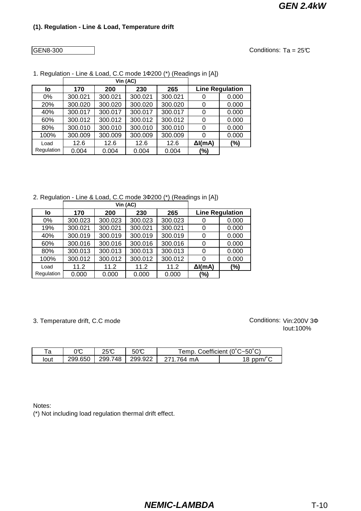GEN8-300

Conditions:  $Ta = 25C$ 

|            |         | Vin (AC) |         |         |                 |                        |
|------------|---------|----------|---------|---------|-----------------|------------------------|
| lo         | 170     | 200      | 230     | 265     |                 | <b>Line Regulation</b> |
| $0\%$      | 300.021 | 300.021  | 300.021 | 300.021 |                 | 0.000                  |
| 20%        | 300.020 | 300.020  | 300.020 | 300.020 |                 | 0.000                  |
| 40%        | 300.017 | 300.017  | 300.017 | 300.017 |                 | 0.000                  |
| 60%        | 300.012 | 300.012  | 300.012 | 300.012 |                 | 0.000                  |
| 80%        | 300.010 | 300.010  | 300.010 | 300.010 |                 | 0.000                  |
| 100%       | 300.009 | 300.009  | 300.009 | 300.009 |                 | 0.000                  |
| Load       | 12.6    | 12.6     | 12.6    | 12.6    | $\Delta I$ (mA) | (%)                    |
| Regulation | 0.004   | 0.004    | 0.004   | 0.004   | (%)             |                        |

1. Regulation - Line & Load, C.C mode 1Ф200 (\*) (Readings in [A])

2. Regulation - Line & Load, C.C mode 3Ф200 (\*) (Readings in [A])

|            |         | Vin (AC) |         |         |                 |                        |
|------------|---------|----------|---------|---------|-----------------|------------------------|
| lo         | 170     | 200      | 230     | 265     |                 | <b>Line Regulation</b> |
| 0%         | 300.023 | 300.023  | 300.023 | 300.023 | 0               | 0.000                  |
| 19%        | 300.021 | 300.021  | 300.021 | 300.021 | 0               | 0.000                  |
| 40%        | 300.019 | 300.019  | 300.019 | 300.019 | 0               | 0.000                  |
| 60%        | 300.016 | 300.016  | 300.016 | 300.016 | 0               | 0.000                  |
| 80%        | 300.013 | 300.013  | 300.013 | 300.013 | 0               | 0.000                  |
| 100%       | 300.012 | 300.012  | 300.012 | 300.012 | 0               | 0.000                  |
| Load       | 11.2    | 11.2     | 11.2    | 11.2    | $\Delta I$ (mA) | $(\% )$                |
| Regulation | 0.000   | 0.000    | 0.000   | 0.000   | (%)             |                        |

3. Temperature drift, C.C mode

Iout:100% Conditions: Vin:200V 3Φ

| та   | ገጥ<br>JU | ጋድሞ     | 50ౄ     | Coefficient (0°C~50°C)<br>emp. |                      |
|------|----------|---------|---------|--------------------------------|----------------------|
| lout | 299.650  | 299.748 | 299.922 | .764 mA                        | 18 ppm/ $\mathsf{P}$ |

Notes:

(\*) Not including load regulation thermal drift effect.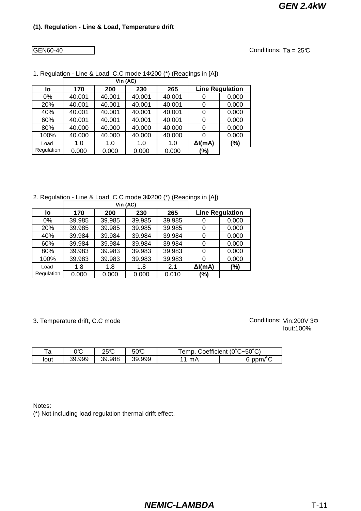GEN60-40

Conditions:  $Ta = 25C$ 

|            |        | Vin (AC) |        |        |                 |                        |
|------------|--------|----------|--------|--------|-----------------|------------------------|
| lo         | 170    | 200      | 230    | 265    |                 | <b>Line Regulation</b> |
| 0%         | 40.001 | 40.001   | 40.001 | 40.001 |                 | 0.000                  |
| 20%        | 40.001 | 40.001   | 40.001 | 40.001 |                 | 0.000                  |
| 40%        | 40.001 | 40.001   | 40.001 | 40.001 |                 | 0.000                  |
| 60%        | 40.001 | 40.001   | 40.001 | 40.001 |                 | 0.000                  |
| 80%        | 40.000 | 40.000   | 40.000 | 40.000 | 0               | 0.000                  |
| 100%       | 40.000 | 40.000   | 40.000 | 40.000 |                 | 0.000                  |
| Load       | 1.0    | 1.0      | 1.0    | 1.0    | $\Delta I$ (mA) | (%)                    |
| Regulation | 0.000  | 0.000    | 0.000  | 0.000  | (%)             |                        |

1. Regulation - Line & Load, C.C mode 1Ф200 (\*) (Readings in [A])

2. Regulation - Line & Load, C.C mode 3Ф200 (\*) (Readings in [A])

|            |        | Vin (AC) |        |        |                 |                        |
|------------|--------|----------|--------|--------|-----------------|------------------------|
| lo         | 170    | 200      | 230    | 265    |                 | <b>Line Regulation</b> |
| $0\%$      | 39.985 | 39.985   | 39.985 | 39.985 | 0               | 0.000                  |
| 20%        | 39.985 | 39.985   | 39.985 | 39.985 | 0               | 0.000                  |
| 40%        | 39.984 | 39.984   | 39.984 | 39.984 | 0               | 0.000                  |
| 60%        | 39.984 | 39.984   | 39.984 | 39.984 | 0               | 0.000                  |
| 80%        | 39.983 | 39.983   | 39.983 | 39.983 | 0               | 0.000                  |
| 100%       | 39.983 | 39.983   | 39.983 | 39.983 | 0               | 0.000                  |
| Load       | 1.8    | 1.8      | 1.8    | 2.1    | $\Delta I$ (mA) | (%)                    |
| Regulation | 0.000  | 0.000    | 0.000  | 0.010  | (%)             |                        |

3. Temperature drift, C.C mode

Iout:100% Conditions: Vin:200V 3Φ

| ᠇ᢩ<br>d | ĴС     | ንፍጥ    | 50C         | emp | Coefficient (0°C~50°C) |
|---------|--------|--------|-------------|-----|------------------------|
| lout    | 39.999 | 39.988 | .999<br>39. | mA  | $\sim$<br>ppm/<br>ື    |

Notes:

(\*) Not including load regulation thermal drift effect.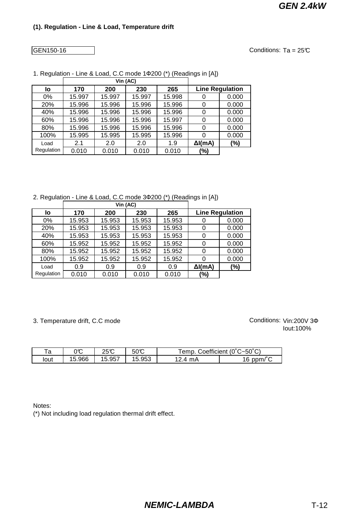#### GEN150-16

Conditions:  $Ta = 25C$ 

|            |        | Vin (AC) |        |        |                 |                        |
|------------|--------|----------|--------|--------|-----------------|------------------------|
| lo         | 170    | 200      | 230    | 265    |                 | <b>Line Regulation</b> |
| $0\%$      | 15.997 | 15.997   | 15.997 | 15.998 |                 | 0.000                  |
| 20%        | 15.996 | 15.996   | 15.996 | 15.996 |                 | 0.000                  |
| 40%        | 15.996 | 15.996   | 15.996 | 15.996 |                 | 0.000                  |
| 60%        | 15.996 | 15.996   | 15.996 | 15.997 |                 | 0.000                  |
| 80%        | 15.996 | 15.996   | 15.996 | 15.996 |                 | 0.000                  |
| 100%       | 15.995 | 15.995   | 15.995 | 15.996 |                 | 0.000                  |
| Load       | 2.1    | 2.0      | 2.0    | 1.9    | $\Delta I$ (mA) | (%)                    |
| Regulation | 0.010  | 0.010    | 0.010  | 0.010  | (%)             |                        |

1. Regulation - Line & Load, C.C mode 1Ф200 (\*) (Readings in [A])

2. Regulation - Line & Load, C.C mode 3Ф200 (\*) (Readings in [A])

|            |        | Vin (AC) |        |        |                 |                        |
|------------|--------|----------|--------|--------|-----------------|------------------------|
| lo         | 170    | 200      | 230    | 265    |                 | <b>Line Regulation</b> |
| $0\%$      | 15.953 | 15.953   | 15.953 | 15.953 | 0               | 0.000                  |
| 20%        | 15.953 | 15.953   | 15.953 | 15.953 | 0               | 0.000                  |
| 40%        | 15.953 | 15.953   | 15.953 | 15.953 | 0               | 0.000                  |
| 60%        | 15.952 | 15.952   | 15.952 | 15.952 | 0               | 0.000                  |
| 80%        | 15.952 | 15.952   | 15.952 | 15.952 | 0               | 0.000                  |
| 100%       | 15.952 | 15.952   | 15.952 | 15.952 | 0               | 0.000                  |
| Load       | 0.9    | 0.9      | 0.9    | 0.9    | $\Delta I$ (mA) | (%)                    |
| Regulation | 0.010  | 0.010    | 0.010  | 0.010  | (%)             |                        |

3. Temperature drift, C.C mode

Iout:100% Conditions: Vin:200V 3Φ

| ⊤∽<br>ά | ገሞ<br>JU | ጋፎጥ          | $50\text{\degree}$ | Coefficient (0°C~50°C)<br>emp |                      |
|---------|----------|--------------|--------------------|-------------------------------|----------------------|
| lout    | 15.966   | .5.957<br>15 | 15.953             | mA<br>$\mathbf{A}$            | $\sim$<br>16<br>ppm/ |

Notes:

(\*) Not including load regulation thermal drift effect.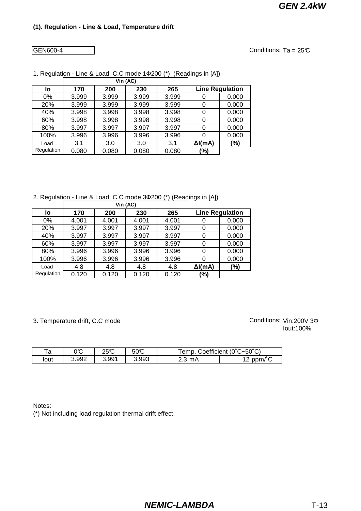GEN600-4

Conditions:  $Ta = 25C$ 

|            |       | Vin (AC) |       |       |                 |                        |
|------------|-------|----------|-------|-------|-----------------|------------------------|
| lo         | 170   | 200      | 230   | 265   |                 | <b>Line Regulation</b> |
| 0%         | 3.999 | 3.999    | 3.999 | 3.999 |                 | 0.000                  |
| 20%        | 3.999 | 3.999    | 3.999 | 3.999 |                 | 0.000                  |
| 40%        | 3.998 | 3.998    | 3.998 | 3.998 |                 | 0.000                  |
| 60%        | 3.998 | 3.998    | 3.998 | 3.998 |                 | 0.000                  |
| 80%        | 3.997 | 3.997    | 3.997 | 3.997 |                 | 0.000                  |
| 100%       | 3.996 | 3.996    | 3.996 | 3.996 |                 | 0.000                  |
| Load       | 3.1   | 3.0      | 3.0   | 3.1   | $\Delta I$ (mA) | $(\%)$                 |
| Regulation | 0.080 | 0.080    | 0.080 | 0.080 | (%)             |                        |

1. Regulation - Line & Load, C.C mode 1Ф200 (\*) (Readings in [A])

2. Regulation - Line & Load, C.C mode 3Ф200 (\*) (Readings in [A])

|            |       | Vin (AC) |       |       |                 |                        |
|------------|-------|----------|-------|-------|-----------------|------------------------|
| lo         | 170   | 200      | 230   | 265   |                 | <b>Line Regulation</b> |
| $0\%$      | 4.001 | 4.001    | 4.001 | 4.001 | 0               | 0.000                  |
| 20%        | 3.997 | 3.997    | 3.997 | 3.997 | 0               | 0.000                  |
| 40%        | 3.997 | 3.997    | 3.997 | 3.997 | 0               | 0.000                  |
| 60%        | 3.997 | 3.997    | 3.997 | 3.997 | 0               | 0.000                  |
| 80%        | 3.996 | 3.996    | 3.996 | 3.996 | 0               | 0.000                  |
| 100%       | 3.996 | 3.996    | 3.996 | 3.996 | 0               | 0.000                  |
| Load       | 4.8   | 4.8      | 4.8   | 4.8   | $\Delta I$ (mA) | (%)                    |
| Regulation | 0.120 | 0.120    | 0.120 | 0.120 | (%)             |                        |

3. Temperature drift, C.C mode

Iout:100% Conditions: Vin:200V 3Φ

| τ∩<br>ά | ገሞ<br>JU | ጋድሞ  | $50\text{C}$ | emp       | Coefficient (0°C~50°C)     |
|---------|----------|------|--------------|-----------|----------------------------|
| lout    | 3.992    | .991 | 3.993        | mA<br>د.ء | $\sim$ $\sim$<br>ppm/<br>ॱ |

Notes:

(\*) Not including load regulation thermal drift effect.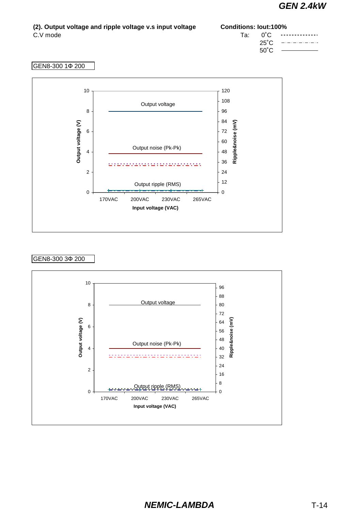| (2). Output voltage and ripple voltage v.s input voltage | <b>Conditions: lout:100%</b> |  |                                                                                                                          |
|----------------------------------------------------------|------------------------------|--|--------------------------------------------------------------------------------------------------------------------------|
| C.V mode                                                 |                              |  | $Ta: \qquad 0^{\circ}C \qquad \cdots \cdots \cdots \cdots$<br>$25^{\circ}$ C -------<br>$50^{\circ}$ C $\longrightarrow$ |
|                                                          |                              |  |                                                                                                                          |

#### GEN8-300 1Ф 200



### GEN8-300 3Ф 200

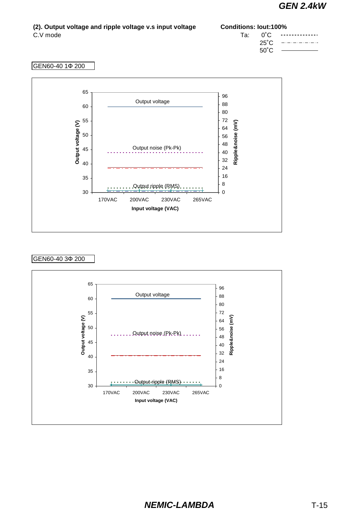$\overline{\phantom{a}}$ 

| (2). Output voltage and ripple voltage v.s input voltage | <b>Conditions: lout:100%</b> |  |                                    |
|----------------------------------------------------------|------------------------------|--|------------------------------------|
| C.V mode                                                 |                              |  | $Ta: 0^{\circ}$ $C.$ ------------- |
|                                                          |                              |  | $25^{\circ}$ C -------             |
|                                                          |                              |  | $50^{\circ}$ C $\longrightarrow$   |

#### GEN60-40 1Ф 200



### GEN60-40 3Ф 200

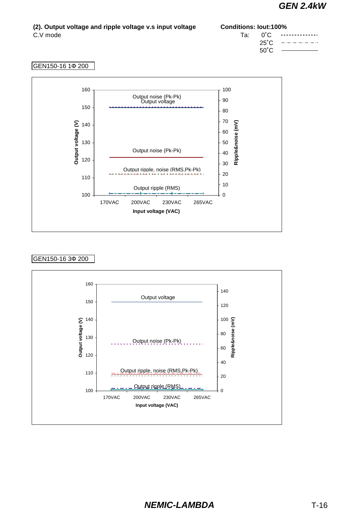#### **(2). Output voltage and ripple voltage v.s input voltage Conditions: Iout:100%** C.V mode Ta: 0˚C  $- - -$ <u>...........</u>. 25˚C والمارك الماركات 50˚C

#### GEN150-16 1Ф 200



#### GEN150-16 3Ф 200

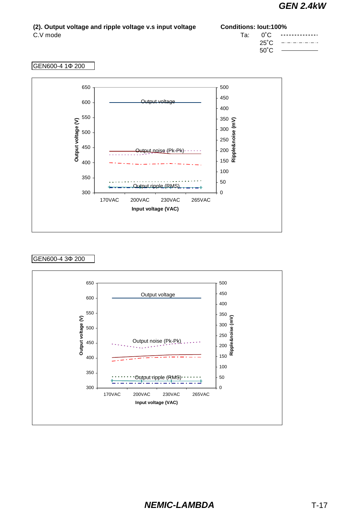#### **(2). Output voltage and ripple voltage v.s input voltage Conditions: Iout:100%** C.V mode Ta: 0°C <u>--------------</u> 25˚C 2020 - 2020 - 2020<br>2020 - 2020 - 2020 - 2020 - 2020 - 2020 - 2020 - 2020 - 2020 - 2020 - 2020 - 2020 - 2020 - 2020 - 2020 - 2020 50˚C

#### GEN600-4 1Ф 200



#### GEN600-4 3Ф 200

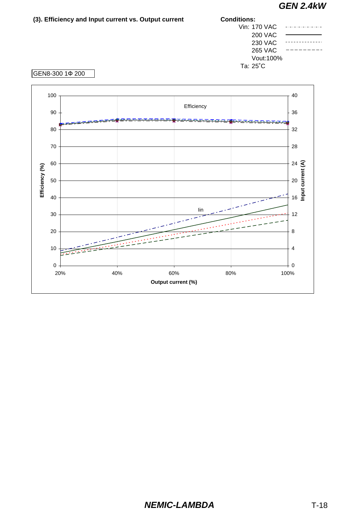| (3). Efficiency and Input current vs. Output current | <b>Conditions:</b> |  |
|------------------------------------------------------|--------------------|--|
|                                                      | Vin: 170 VAC       |  |
|                                                      | <b>200 VAC</b>     |  |
|                                                      | <b>230 VAC</b>     |  |
|                                                      | <b>265 VAC</b>     |  |
|                                                      | Vout:100%          |  |
|                                                      | Ta: 25°C           |  |
| GEN8-300 1¢ 200                                      |                    |  |
|                                                      |                    |  |

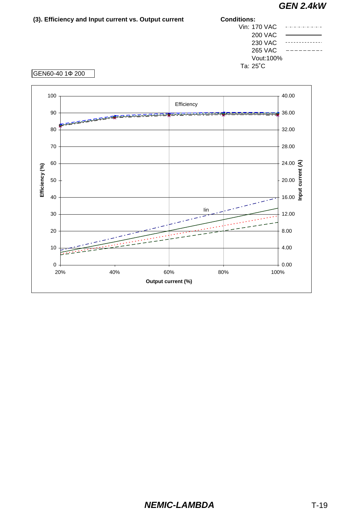| (3). Efficiency and Input current vs. Output current | <b>Conditions:</b> |               |
|------------------------------------------------------|--------------------|---------------|
|                                                      | Vin: 170 VAC       |               |
|                                                      | <b>200 VAC</b>     |               |
|                                                      | <b>230 VAC</b>     |               |
|                                                      | <b>265 VAC</b>     |               |
|                                                      | Vout:100%          |               |
|                                                      | Ta: 25°C           |               |
| GEN60-40 1¢ 200                                      |                    |               |
| $\sqrt{2}$                                           |                    | $\sim$ $\sim$ |

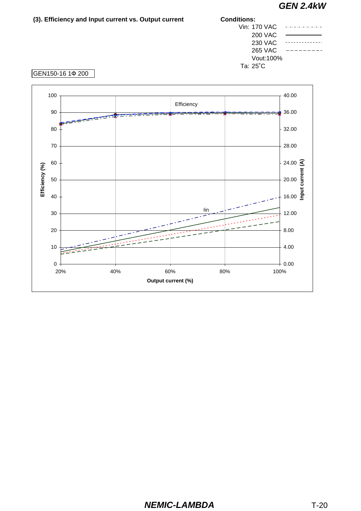| (3). Efficiency and Input current vs. Output current | <b>Conditions:</b><br>Vin: 170 VAC<br><b>200 VAC</b><br><b>230 VAC</b><br><b>265 VAC</b><br>Ta: 25°C |  |
|------------------------------------------------------|------------------------------------------------------------------------------------------------------|--|
|                                                      |                                                                                                      |  |
|                                                      |                                                                                                      |  |
|                                                      |                                                                                                      |  |
|                                                      |                                                                                                      |  |
|                                                      | Vout: 100%                                                                                           |  |
|                                                      |                                                                                                      |  |
| GEN150-16 1Φ 200                                     |                                                                                                      |  |
|                                                      |                                                                                                      |  |
|                                                      |                                                                                                      |  |



#### GEN150-16 1Ф 200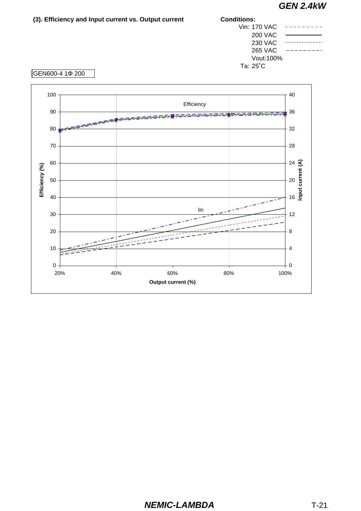| (3). Efficiency and Input current vs. Output current | <b>Conditions:</b> |  |
|------------------------------------------------------|--------------------|--|
|                                                      | Vin: 170 VAC       |  |
|                                                      | 200 VAC            |  |
|                                                      | 230 VAC            |  |
|                                                      | 265 VAC            |  |
|                                                      | Vout:100%          |  |
|                                                      | Ta: 25°C           |  |
| IGEN600-4 10 200                                     |                    |  |



#### GEN600-4 1Ф 200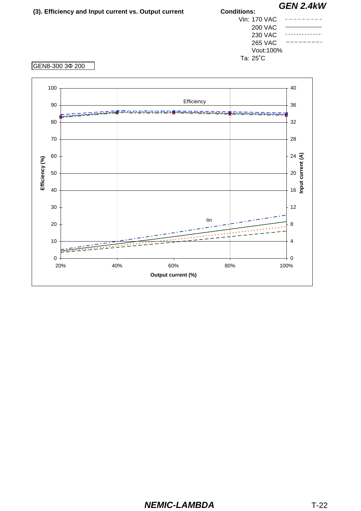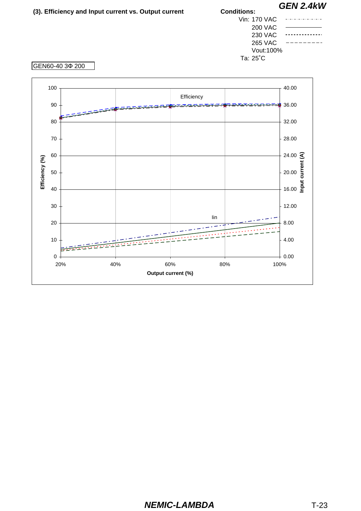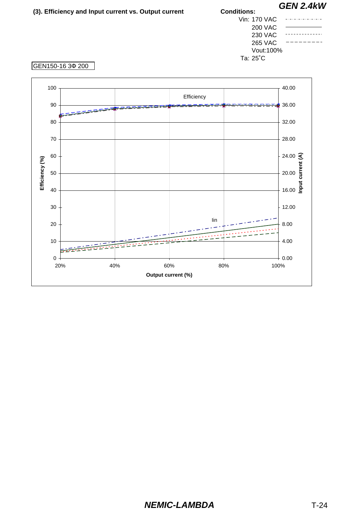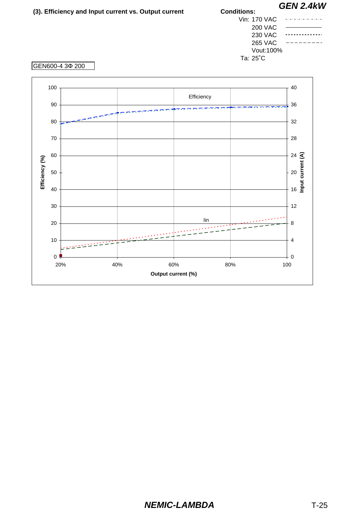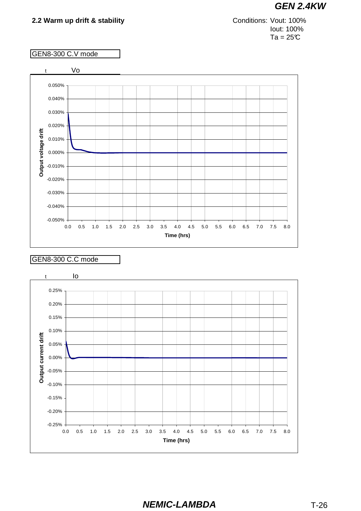Iout: 100%  $Ta = 25C$ Conditions: Vout: 100%

### GEN8-300 C.V mode



#### GEN8-300 C.C mode

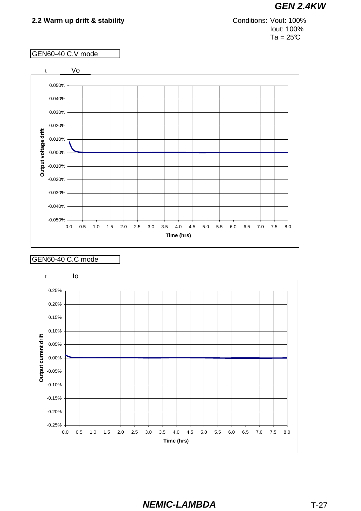Iout: 100%  $Ta = 25C$ Conditions: Vout: 100%

#### GEN60-40 C.V mode



#### GEN60-40 C.C mode

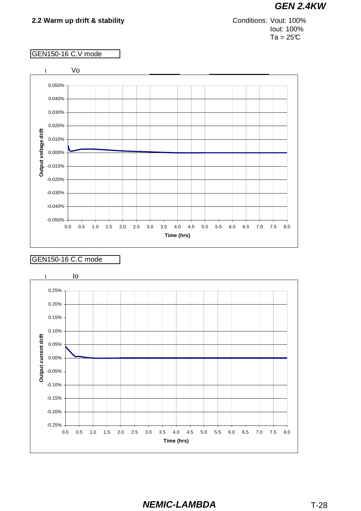Iout: 100%  $Ta = 25C$ Conditions: Vout: 100%

### GEN150-16 C.V mode



#### GEN150-16 C.C mode

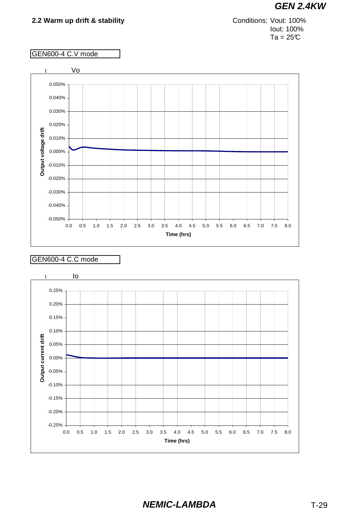Iout: 100%  $Ta = 25C$ Conditions: Vout: 100%

#### GEN600-4 C.V mode



#### GEN600-4 C.C mode

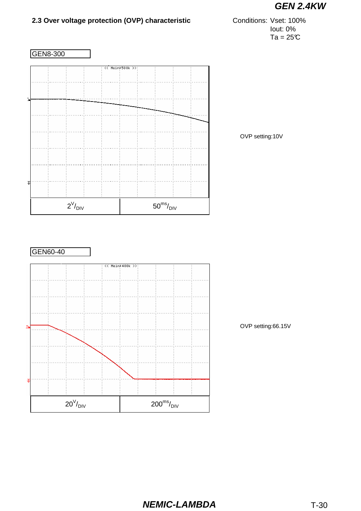

# **2.3 Over voltage protection (OVP) characteristic**

Iout: 0%  $Ta = 25C$ Conditions: Vset: 100%



OVP setting:10V



OVP setting:66.15V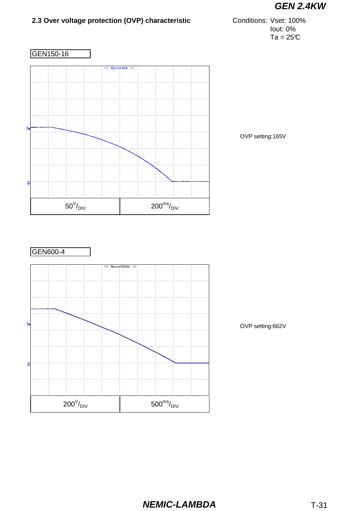# **2.3 Over voltage protection (OVP) characteristic**

Iout: 0%  $Ta = 25C$ Conditions: Vset: 100%







OVP setting:662V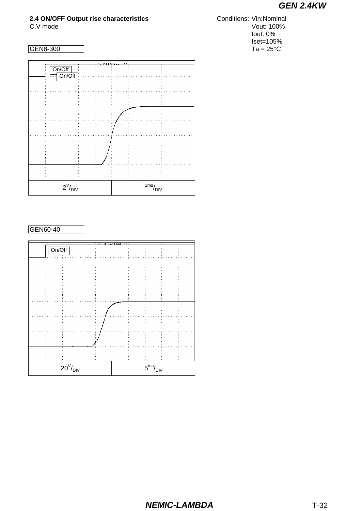# **2.4 ON/OFF Output rise characteristics**



### GEN60-40

| ÷                         | ٠ | 77 Maint100b NY: |                         |  |
|---------------------------|---|------------------|-------------------------|--|
| On/Off                    |   |                  |                         |  |
|                           |   |                  |                         |  |
|                           |   |                  |                         |  |
|                           |   |                  |                         |  |
|                           |   |                  |                         |  |
|                           |   |                  |                         |  |
|                           |   |                  |                         |  |
|                           |   |                  |                         |  |
|                           |   |                  |                         |  |
| $20^{\rm V}\!/_{\rm DIV}$ |   |                  | $5^{\rm ms}/_{\rm DIV}$ |  |

C.V mode Vout: 100% Iout: 0% Iset=105% GEN8-300 Ta = 25°C Conditions: Vin:Nominal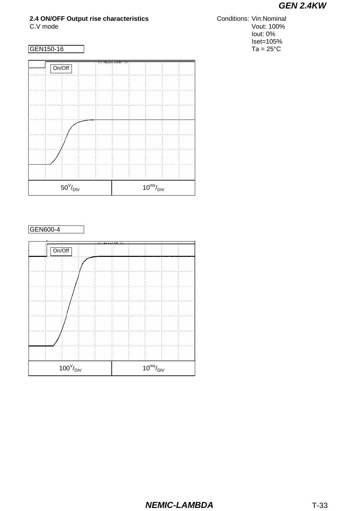# **2.4 ON/OFF Output rise characteristics**

## GEN150-16







C.V mode Vout: 100% Iout: 0%  $Iset=105\%$ <br>Ta = 25°C Conditions: Vin:Nominal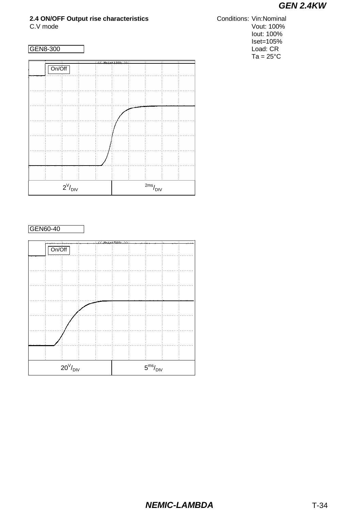# **2.4 ON/OFF Output rise characteristics**



GEN60-40



C.V mode Vout: 100% Iout: 100% Iset=105% GEN8-300 Load: CR  $Ta = 25^{\circ}C$ Conditions: Vin:Nominal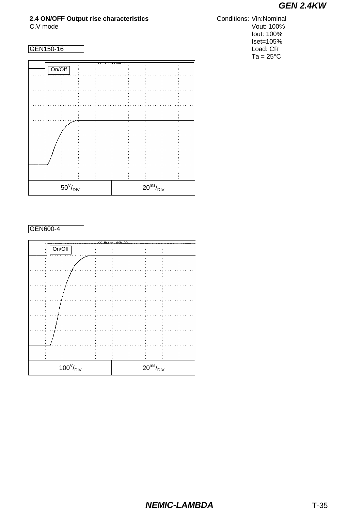# **2.4 ON/OFF Output rise characteristics**



GEN600-4



C.V mode Vout: 100% Iout: 100% Iset=105% GEN150-16 Load: CR  $Ta = 25^{\circ}C$ Conditions: Vin:Nominal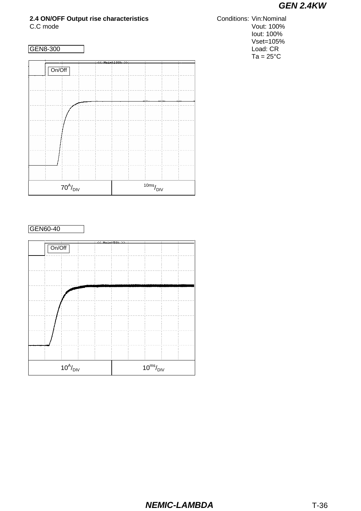# **2.4 ON/OFF Output rise characteristics**



#### GEN60-40



C.C mode Vout: 100% Iout: 100% Vset=105% GEN8-300 Load: CR  $Ta = 25^{\circ}C$ Conditions: Vin:Nominal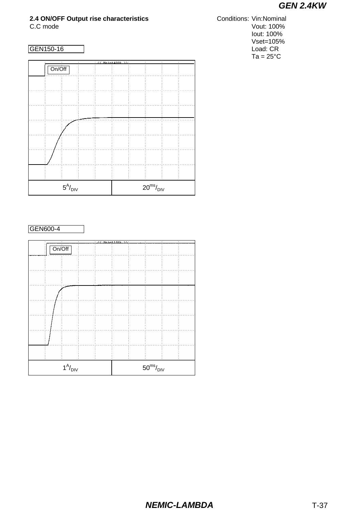# **2.4 ON/OFF Output rise characteristics**



#### GEN600-4



C.C mode Vout: 100% Iout: 100% Vset=105% GEN150-16 Load: CR  $Ta = 25^{\circ}C$ **Conditions: Vin:Nominal**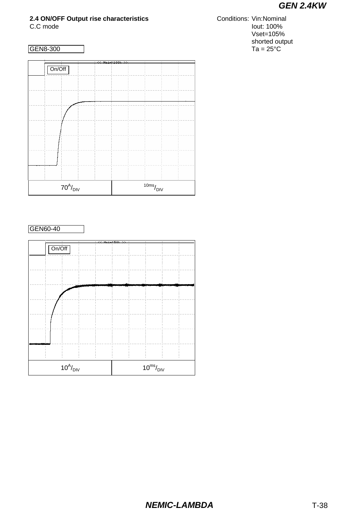# **2.4 ON/OFF Output rise characteristics**

## GEN8-300



#### GEN60-40



C.C mode **Iout:** 100% Vset=105% shorted output<br>Ta =  $25^{\circ}$ C **Conditions: Vin:Nominal**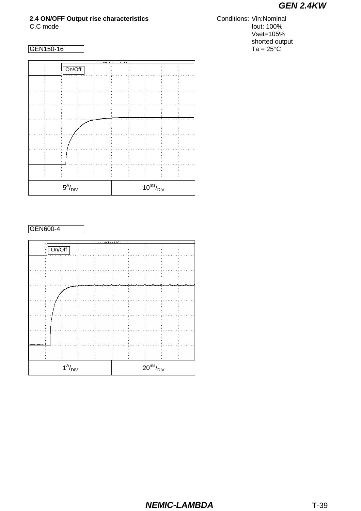# **2.4 ON/OFF Output rise characteristics**

## GEN150-16



GEN600-4



C.C mode **Iout:** 100% Vset=105% shorted output<br>Ta =  $25^{\circ}$ C **Conditions: Vin:Nominal**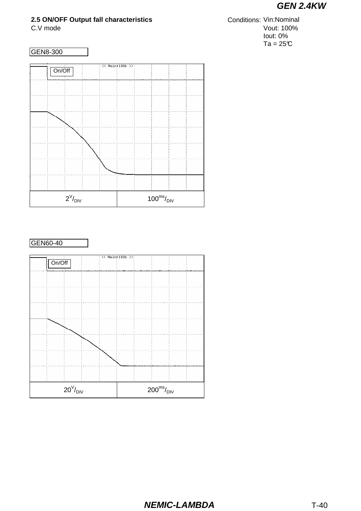## **2.5 ON/OFF Output fall characteristics**

C.V mode Vout: 100% Iout: 0%  $Ta = 25C$ **Conditions: Vin:Nominal** 



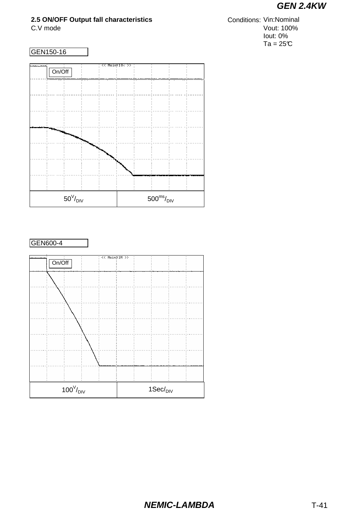## **2.5 ON/OFF Output fall characteristics**

C.V mode Vout: 100% Iout: 0%  $Ta = 25C$ **Conditions: Vin:Nominal** 



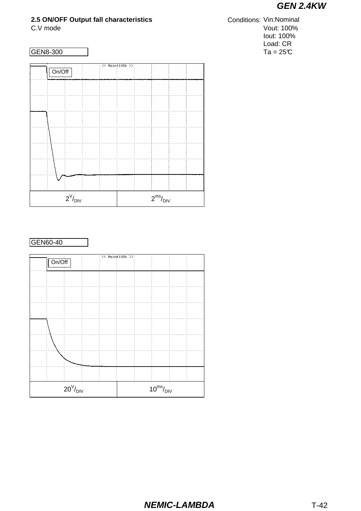## **2.5 ON/OFF Output fall characteristics**

| GEN8-300 |  |
|----------|--|
|          |  |

|  | << Main>100k >>:<br>$rac{1}{\text{On}/\text{Off}}$ |                          |  |  |  |  |                         |  |  |
|--|----------------------------------------------------|--------------------------|--|--|--|--|-------------------------|--|--|
|  |                                                    |                          |  |  |  |  |                         |  |  |
|  |                                                    |                          |  |  |  |  |                         |  |  |
|  |                                                    |                          |  |  |  |  |                         |  |  |
|  |                                                    |                          |  |  |  |  |                         |  |  |
|  |                                                    |                          |  |  |  |  |                         |  |  |
|  |                                                    |                          |  |  |  |  |                         |  |  |
|  |                                                    |                          |  |  |  |  |                         |  |  |
|  |                                                    |                          |  |  |  |  |                         |  |  |
|  |                                                    |                          |  |  |  |  |                         |  |  |
|  |                                                    |                          |  |  |  |  |                         |  |  |
|  |                                                    |                          |  |  |  |  |                         |  |  |
|  |                                                    |                          |  |  |  |  |                         |  |  |
|  |                                                    |                          |  |  |  |  |                         |  |  |
|  |                                                    |                          |  |  |  |  |                         |  |  |
|  |                                                    |                          |  |  |  |  |                         |  |  |
|  |                                                    |                          |  |  |  |  |                         |  |  |
|  |                                                    |                          |  |  |  |  |                         |  |  |
|  |                                                    |                          |  |  |  |  |                         |  |  |
|  |                                                    |                          |  |  |  |  |                         |  |  |
|  |                                                    |                          |  |  |  |  |                         |  |  |
|  |                                                    |                          |  |  |  |  |                         |  |  |
|  |                                                    |                          |  |  |  |  |                         |  |  |
|  |                                                    |                          |  |  |  |  |                         |  |  |
|  |                                                    |                          |  |  |  |  |                         |  |  |
|  |                                                    |                          |  |  |  |  |                         |  |  |
|  |                                                    | $2^{\vee}/_{\text{DIV}}$ |  |  |  |  | $2^{\rm ms}/_{\rm DIV}$ |  |  |

### GEN60-40

|                           |                                  |  |  |                          | << Main>100k >>: |  |  |  |  |
|---------------------------|----------------------------------|--|--|--------------------------|------------------|--|--|--|--|
|                           | $\frac{1}{\text{On}/\text{Off}}$ |  |  |                          |                  |  |  |  |  |
|                           |                                  |  |  |                          |                  |  |  |  |  |
|                           |                                  |  |  |                          |                  |  |  |  |  |
|                           |                                  |  |  |                          |                  |  |  |  |  |
|                           |                                  |  |  |                          |                  |  |  |  |  |
|                           |                                  |  |  |                          |                  |  |  |  |  |
|                           |                                  |  |  |                          |                  |  |  |  |  |
|                           |                                  |  |  |                          |                  |  |  |  |  |
|                           |                                  |  |  |                          |                  |  |  |  |  |
|                           |                                  |  |  |                          |                  |  |  |  |  |
|                           |                                  |  |  |                          |                  |  |  |  |  |
|                           |                                  |  |  |                          |                  |  |  |  |  |
|                           |                                  |  |  |                          |                  |  |  |  |  |
|                           |                                  |  |  |                          |                  |  |  |  |  |
|                           |                                  |  |  |                          |                  |  |  |  |  |
|                           |                                  |  |  |                          |                  |  |  |  |  |
| $20^{\rm V}\!/_{\rm DIV}$ |                                  |  |  | $10^{\rm ms}/_{\rm DIV}$ |                  |  |  |  |  |

#### C.V mode Vout: 100% Iout: 100% Load: CR  $Ta = 25^{\circ}\text{C}$ Conditions: Vin:Nominal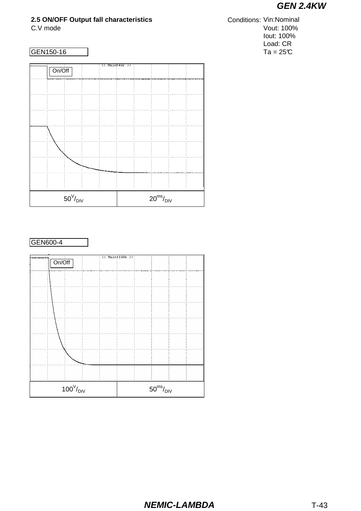## **2.5 ON/OFF Output fall characteristics**



## GEN600-4

|                          | << Main>100k >>: |                          |  |  |  |
|--------------------------|------------------|--------------------------|--|--|--|
| On/Off                   |                  |                          |  |  |  |
|                          |                  |                          |  |  |  |
|                          |                  |                          |  |  |  |
|                          |                  |                          |  |  |  |
|                          |                  |                          |  |  |  |
|                          |                  |                          |  |  |  |
|                          |                  |                          |  |  |  |
|                          |                  |                          |  |  |  |
|                          |                  |                          |  |  |  |
|                          |                  |                          |  |  |  |
|                          |                  |                          |  |  |  |
|                          |                  |                          |  |  |  |
|                          |                  |                          |  |  |  |
|                          |                  |                          |  |  |  |
|                          |                  |                          |  |  |  |
|                          |                  |                          |  |  |  |
|                          |                  |                          |  |  |  |
|                          |                  |                          |  |  |  |
|                          |                  |                          |  |  |  |
|                          |                  |                          |  |  |  |
|                          |                  |                          |  |  |  |
|                          |                  |                          |  |  |  |
| $100^{\rm V}/_{\rm DIV}$ |                  | $50^{\rm ms}/_{\rm DIV}$ |  |  |  |

#### C.V mode Vout: 100% Iout: 100% Load: CR  $GEN150-16$  Ta = 25°C **Conditions: Vin:Nominal**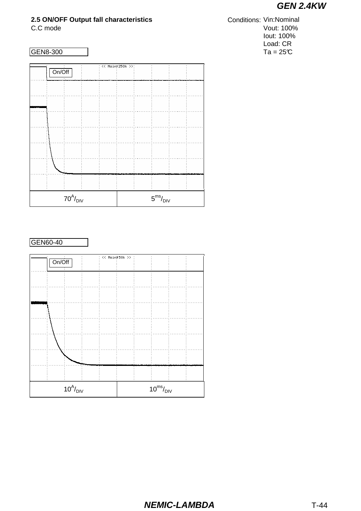## **2.5 ON/OFF Output fall characteristics**

 $10^A/_\text{DIV}$ 

|                                                                                                                                                                                                                                                                                                                                                                                                                         |                               |  | : << Main:250k >>:        |  |                         |  |
|-------------------------------------------------------------------------------------------------------------------------------------------------------------------------------------------------------------------------------------------------------------------------------------------------------------------------------------------------------------------------------------------------------------------------|-------------------------------|--|---------------------------|--|-------------------------|--|
| $rac{1}{\sqrt{1-\frac{1}{1-\frac{1}{1-\frac{1}{1-\frac{1}{1-\frac{1}{1-\frac{1}{1-\frac{1}{1-\frac{1}{1-\frac{1}{1-\frac{1}{1-\frac{1}{1-\frac{1}{1-\frac{1}{1-\frac{1}{1-\frac{1}{1-\frac{1}{1-\frac{1}{1-\frac{1}{1-\frac{1}{1-\frac{1}{1-\frac{1}{1-\frac{1}{1-\frac{1}{1-\frac{1}{1-\frac{1}{1-\frac{1}{1-\frac{1}{1-\frac{1}{1-\frac{1}{1-\frac{1}{1-\frac{1}{1-\frac{1}{1-\frac{1}{1-\frac{1}{1-\frac{1}{1-\frac$ |                               |  |                           |  |                         |  |
|                                                                                                                                                                                                                                                                                                                                                                                                                         |                               |  |                           |  |                         |  |
|                                                                                                                                                                                                                                                                                                                                                                                                                         |                               |  |                           |  |                         |  |
|                                                                                                                                                                                                                                                                                                                                                                                                                         |                               |  |                           |  |                         |  |
|                                                                                                                                                                                                                                                                                                                                                                                                                         |                               |  |                           |  |                         |  |
|                                                                                                                                                                                                                                                                                                                                                                                                                         |                               |  |                           |  |                         |  |
|                                                                                                                                                                                                                                                                                                                                                                                                                         |                               |  |                           |  |                         |  |
|                                                                                                                                                                                                                                                                                                                                                                                                                         |                               |  |                           |  |                         |  |
|                                                                                                                                                                                                                                                                                                                                                                                                                         |                               |  |                           |  |                         |  |
|                                                                                                                                                                                                                                                                                                                                                                                                                         |                               |  |                           |  |                         |  |
|                                                                                                                                                                                                                                                                                                                                                                                                                         |                               |  |                           |  |                         |  |
|                                                                                                                                                                                                                                                                                                                                                                                                                         |                               |  |                           |  |                         |  |
|                                                                                                                                                                                                                                                                                                                                                                                                                         |                               |  |                           |  |                         |  |
|                                                                                                                                                                                                                                                                                                                                                                                                                         |                               |  |                           |  |                         |  |
|                                                                                                                                                                                                                                                                                                                                                                                                                         |                               |  |                           |  |                         |  |
|                                                                                                                                                                                                                                                                                                                                                                                                                         | $70^{\text{A}}/_{\text{DIV}}$ |  |                           |  | $5^{\rm ms}/_{\rm DIV}$ |  |
|                                                                                                                                                                                                                                                                                                                                                                                                                         |                               |  |                           |  |                         |  |
| GEN60-40                                                                                                                                                                                                                                                                                                                                                                                                                |                               |  | $: <<$ Main $350k$ $>>$ : |  |                         |  |
| On/Off                                                                                                                                                                                                                                                                                                                                                                                                                  |                               |  |                           |  |                         |  |
|                                                                                                                                                                                                                                                                                                                                                                                                                         |                               |  |                           |  |                         |  |
|                                                                                                                                                                                                                                                                                                                                                                                                                         |                               |  |                           |  |                         |  |
|                                                                                                                                                                                                                                                                                                                                                                                                                         |                               |  |                           |  |                         |  |
|                                                                                                                                                                                                                                                                                                                                                                                                                         |                               |  |                           |  |                         |  |
|                                                                                                                                                                                                                                                                                                                                                                                                                         |                               |  |                           |  |                         |  |
|                                                                                                                                                                                                                                                                                                                                                                                                                         |                               |  |                           |  |                         |  |
|                                                                                                                                                                                                                                                                                                                                                                                                                         |                               |  |                           |  |                         |  |
|                                                                                                                                                                                                                                                                                                                                                                                                                         |                               |  |                           |  |                         |  |
|                                                                                                                                                                                                                                                                                                                                                                                                                         |                               |  |                           |  |                         |  |

C.C mode Vout: 100% Iout: 100% Load: CR  $Ta = 25^{\circ}\text{C}$ Conditions: Vin:Nominal

 $10^{ms}/$ <sub>DIV</sub>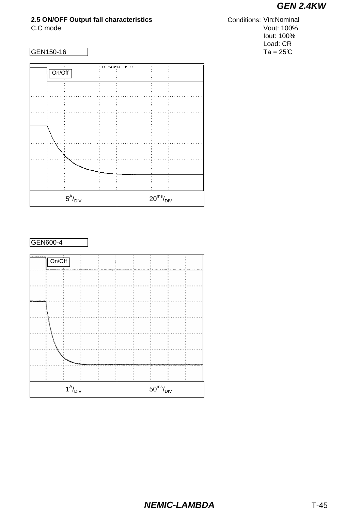## **2.5 ON/OFF Output fall characteristics**



#### GEN600-4



#### C.C mode Vout: 100% Iout: 100% Load: CR  $GEN150-16$  Ta = 25°C **Conditions: Vin:Nominal**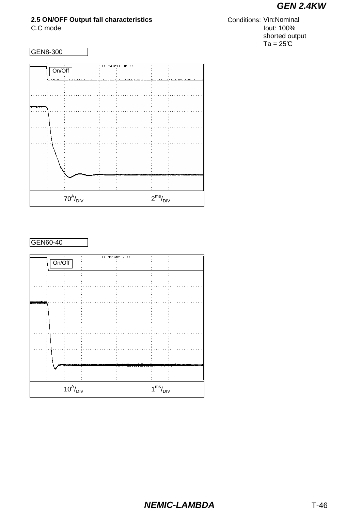## **2.5 ON/OFF Output fall characteristics**

C.C mode Iout: 100% shorted output  $Ta = 25C$ **Conditions: Vin:Nominal** 



## GEN60-40

|                                      |                                |  |                         | $<<$ Main:50k $>>$ |  |  |  |  |
|--------------------------------------|--------------------------------|--|-------------------------|--------------------|--|--|--|--|
|                                      | $rac{1}{\text{On}/\text{Off}}$ |  |                         |                    |  |  |  |  |
|                                      |                                |  |                         |                    |  |  |  |  |
|                                      |                                |  |                         |                    |  |  |  |  |
|                                      |                                |  |                         |                    |  |  |  |  |
|                                      |                                |  |                         |                    |  |  |  |  |
|                                      |                                |  |                         |                    |  |  |  |  |
|                                      |                                |  |                         |                    |  |  |  |  |
|                                      |                                |  |                         |                    |  |  |  |  |
|                                      |                                |  |                         |                    |  |  |  |  |
|                                      |                                |  |                         |                    |  |  |  |  |
|                                      |                                |  |                         |                    |  |  |  |  |
|                                      |                                |  |                         |                    |  |  |  |  |
| $10^{\text{A}}\text{/}_{\text{DIV}}$ |                                |  | $1^{\rm ms}/_{\rm DIV}$ |                    |  |  |  |  |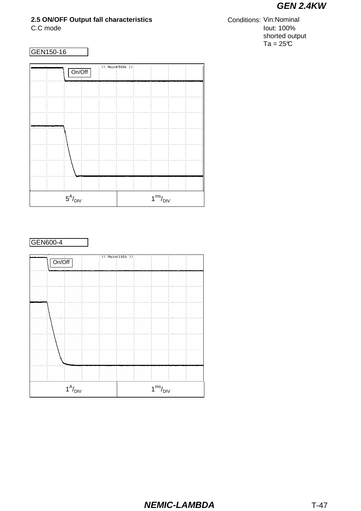### **2.5 ON/OFF Output fall characteristics**

C.C mode Iout: 100% shorted output  $Ta = 25C$ Conditions: Vin:Nominal

#### GEN150-16

|                                |  | On/Off |  |  | << Main:500k >>:        |  |  |
|--------------------------------|--|--------|--|--|-------------------------|--|--|
|                                |  |        |  |  |                         |  |  |
|                                |  |        |  |  |                         |  |  |
|                                |  |        |  |  |                         |  |  |
|                                |  |        |  |  |                         |  |  |
|                                |  |        |  |  |                         |  |  |
|                                |  |        |  |  |                         |  |  |
|                                |  |        |  |  |                         |  |  |
| $5^{\text{A}}\!/_{\text{DIV}}$ |  |        |  |  | $1^{\rm ms}/_{\rm DIV}$ |  |  |

#### GEN600-4

|                                  |                                  |  | $<<$ Main3100k >>:      |  |  |  |  |
|----------------------------------|----------------------------------|--|-------------------------|--|--|--|--|
|                                  | $\frac{1}{\text{On}/\text{Off}}$ |  |                         |  |  |  |  |
|                                  |                                  |  |                         |  |  |  |  |
|                                  |                                  |  |                         |  |  |  |  |
|                                  |                                  |  |                         |  |  |  |  |
|                                  |                                  |  |                         |  |  |  |  |
|                                  |                                  |  |                         |  |  |  |  |
|                                  |                                  |  |                         |  |  |  |  |
|                                  |                                  |  |                         |  |  |  |  |
|                                  |                                  |  |                         |  |  |  |  |
|                                  |                                  |  |                         |  |  |  |  |
|                                  |                                  |  |                         |  |  |  |  |
|                                  |                                  |  |                         |  |  |  |  |
|                                  |                                  |  |                         |  |  |  |  |
|                                  |                                  |  |                         |  |  |  |  |
|                                  |                                  |  |                         |  |  |  |  |
|                                  |                                  |  |                         |  |  |  |  |
|                                  |                                  |  |                         |  |  |  |  |
|                                  |                                  |  |                         |  |  |  |  |
|                                  |                                  |  |                         |  |  |  |  |
|                                  |                                  |  |                         |  |  |  |  |
|                                  |                                  |  |                         |  |  |  |  |
|                                  |                                  |  |                         |  |  |  |  |
| $1^{\mathsf{A}}/_{\mathsf{DIV}}$ |                                  |  | $1^{\rm ms}/_{\rm DIV}$ |  |  |  |  |
|                                  |                                  |  |                         |  |  |  |  |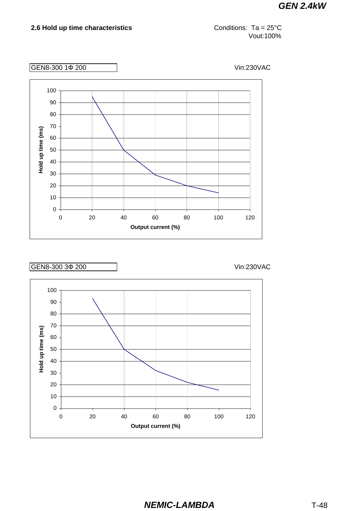#### **2.6 Hold up time characteristics**

Conditions: Ta = 25°C Vout:100%

GEN8-300 1Ф 200 Vin:230VAC



### GEN8-300 3Ф 200 Vin:230VAC

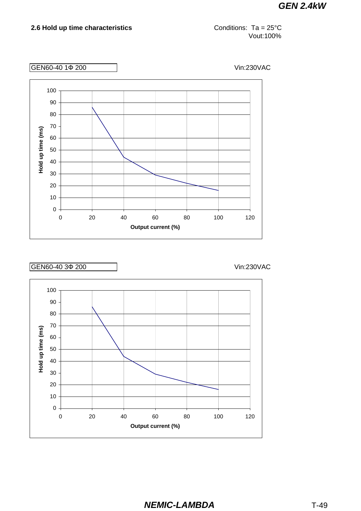#### **2.6 Hold up time characteristics**

Conditions: Ta = 25°C Vout:100%

GEN60-40 1Ф 200 Vin:230VAC



### GEN60-40 3Ф 200 Vin:230VAC

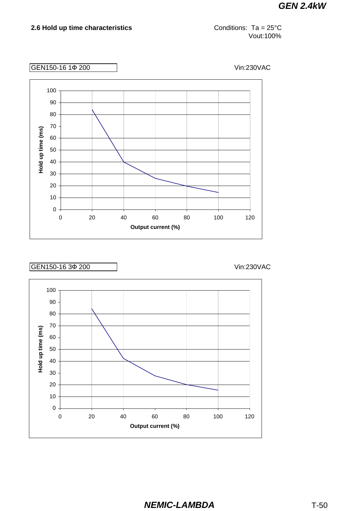Conditions: Ta = 25°C Vout:100%

GEN150-16 1Ф 200 Vin:230VAC



### GEN150-16 3Ф 200 Vin:230VAC

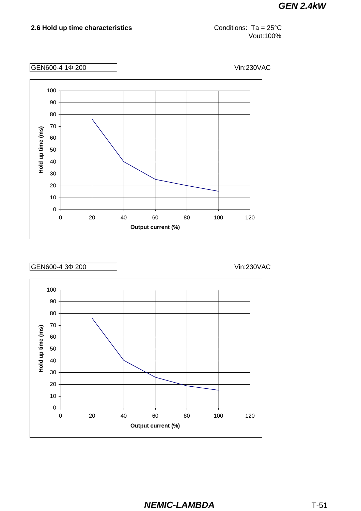**2.6 Hold up time characteristics**

Conditions: Ta = 25°C Vout:100%

GEN600-4 1Ф 200 Vin:230VAC





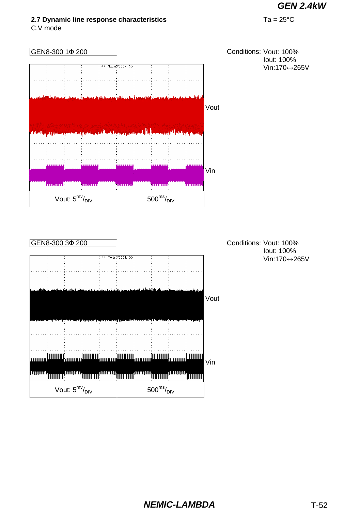## **2.7 Dynamic line response characteristics** Ta = 25°C

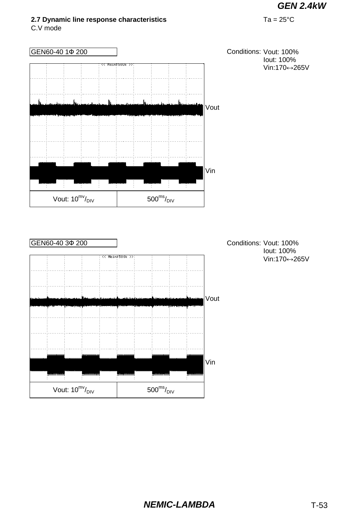## **2.7 Dynamic line response characteristics** Ta = 25°C

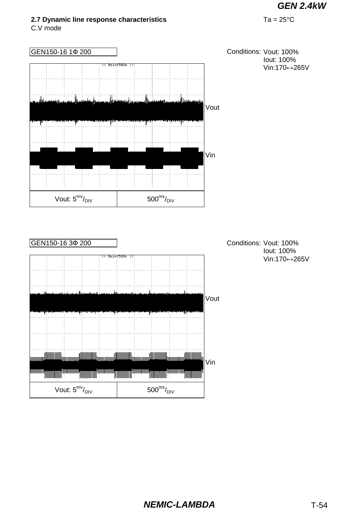### **2.7 Dynamic line response characteristics** Ta = 25°C

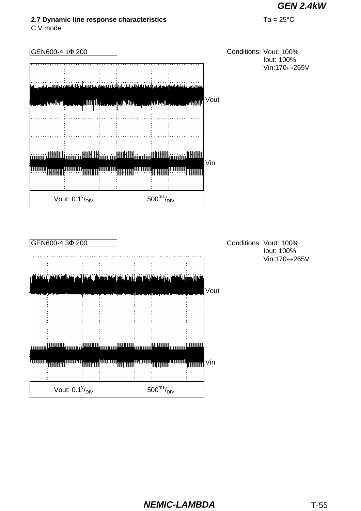#### **2.7 Dynamic line response characteristics** Ta = 25°C

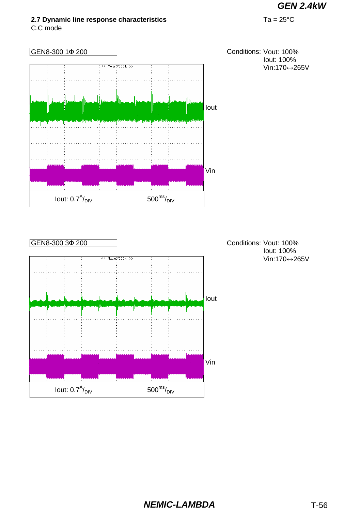# **2.7 Dynamic line response characteristics** Ta = 25°C

C.C mode

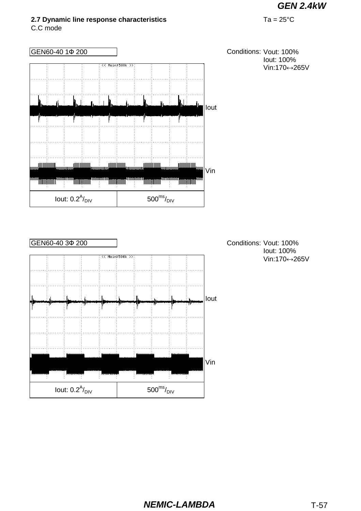## **2.7 Dynamic line response characteristics** Ta = 25°C

C.C mode



## **NEMIC-LAMBDA** T-57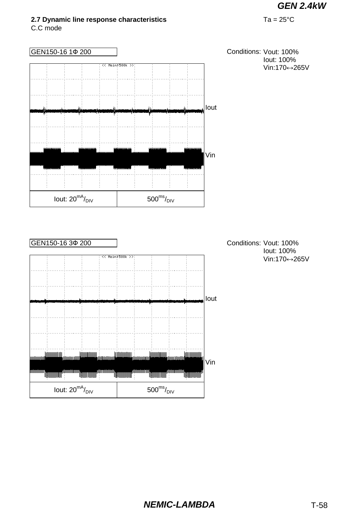## **2.7 Dynamic line response characteristics** Ta = 25°C

C.C mode

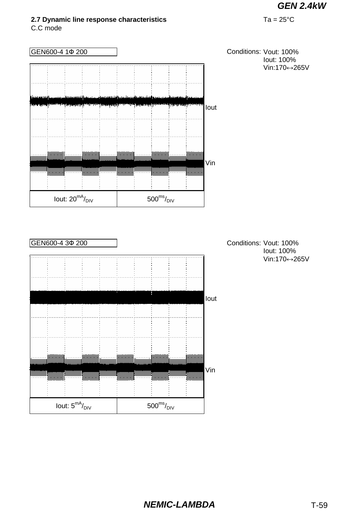**2.7 Dynamic line response characteristics** Ta = 25°C

C.C mode

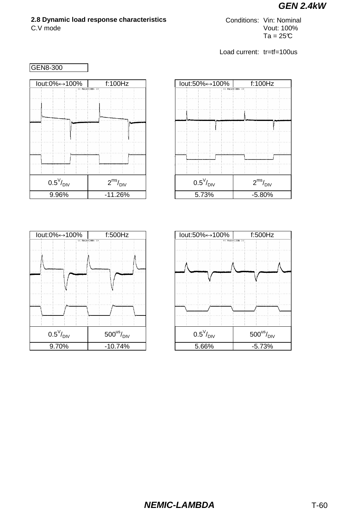## **2.8 Dynamic load response characteristics Conditions: Vin: Nominal**

C.V mode Vout: 100%  $Ta = 25C$ 



| lout:0%↔100%               | f:500Hz                         | lout:50%↔100% |
|----------------------------|---------------------------------|---------------|
|                            | << Main: 100k >>:               | << M          |
|                            |                                 |               |
|                            |                                 |               |
|                            |                                 |               |
|                            |                                 |               |
|                            |                                 |               |
|                            |                                 |               |
|                            |                                 |               |
| $0.5^{\vee}/_{\text{DIV}}$ | $500^{\text{us}}/_{\text{DIV}}$ |               |
| 9.70%                      | $-10.74%$                       | 5.66%         |

|                            |  |       | lout:50%↔100%            |  |                   |  | f:100Hz  |  |  |
|----------------------------|--|-------|--------------------------|--|-------------------|--|----------|--|--|
|                            |  |       |                          |  | << Main: 100k >>: |  |          |  |  |
|                            |  |       |                          |  |                   |  |          |  |  |
|                            |  |       |                          |  |                   |  |          |  |  |
|                            |  |       |                          |  |                   |  |          |  |  |
|                            |  |       |                          |  |                   |  |          |  |  |
|                            |  |       |                          |  |                   |  |          |  |  |
|                            |  |       |                          |  |                   |  |          |  |  |
|                            |  |       |                          |  |                   |  |          |  |  |
|                            |  |       |                          |  |                   |  |          |  |  |
| $0.5^{\vee}/_{\text{DIV}}$ |  |       | $2^{ms}/$ <sub>DIV</sub> |  |                   |  |          |  |  |
|                            |  | 5.73% |                          |  |                   |  | $-5.80%$ |  |  |

| 0%↔100%                          | f:500Hz                         |  | lout:50%↔100% |                            | f:500Hz          |                                 |  |
|----------------------------------|---------------------------------|--|---------------|----------------------------|------------------|---------------------------------|--|
|                                  | << Main: 100k >>:               |  |               |                            | << Main:100k >>: |                                 |  |
|                                  |                                 |  |               |                            |                  |                                 |  |
|                                  |                                 |  |               |                            |                  |                                 |  |
|                                  |                                 |  |               |                            |                  |                                 |  |
|                                  |                                 |  |               |                            |                  |                                 |  |
|                                  |                                 |  |               |                            |                  |                                 |  |
|                                  |                                 |  |               |                            |                  |                                 |  |
|                                  |                                 |  |               |                            |                  |                                 |  |
| $0.5^{\vee}/_{\square\text{IV}}$ | $500^{\text{us}}/_{\text{DIV}}$ |  |               | $0.5^{\vee}/_{\text{DIV}}$ |                  | $500^{\text{us}}/_{\text{DIV}}$ |  |
| 9.70%                            | $-10.74%$                       |  | 5.66%         |                            |                  | $-5.73%$                        |  |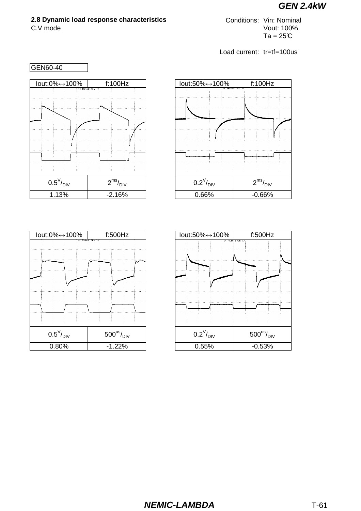## **2.8 Dynamic load response characteristics** Conditions: Vin: Nominal

C.V mode Vout: 100%  $Ta = 25C$ 



| lout:0%↔100%               | f:500Hz                         | lout:50% |
|----------------------------|---------------------------------|----------|
|                            | << Main#100k >>                 |          |
| $0.5^{\vee}/_{\text{DIV}}$ | $500^{\text{us}}/_{\text{DIV}}$ | $0.2^V$  |
| 0.80%                      | $-1.22%$                        | 0.55     |



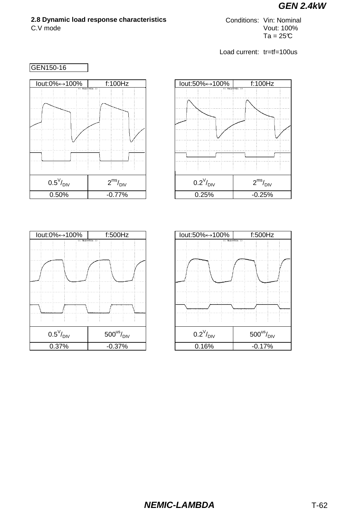## **2.8 Dynamic load response characteristics** Conditions: Vin: Nominal

C.V mode Vout: 100%  $Ta = 25C$ 



|                            | lout:0%↔100% | f:500Hz<br><< Main:50k >> | lout:50% |
|----------------------------|--------------|---------------------------|----------|
|                            |              |                           |          |
|                            |              |                           |          |
|                            |              |                           |          |
|                            |              |                           |          |
|                            |              |                           |          |
| $0.5^{\rm V}\!/_{\rm DIV}$ |              | $500^{\rm us}\!/_\rm DIV$ | $0.2^V$  |
| 0.37%                      |              | $-0.37%$                  | 0.16     |



| lout:50%↔100%           |  |                |                                 | f:500Hz  |  |
|-------------------------|--|----------------|---------------------------------|----------|--|
|                         |  | << Main>50k >> |                                 |          |  |
|                         |  |                |                                 |          |  |
|                         |  |                |                                 |          |  |
|                         |  |                |                                 |          |  |
|                         |  |                |                                 |          |  |
|                         |  |                |                                 |          |  |
|                         |  |                |                                 |          |  |
|                         |  |                |                                 |          |  |
| $0.2^{V}/_{\text{DIV}}$ |  |                | $500^{\text{us}}/_{\text{DIV}}$ |          |  |
| 0.16%                   |  |                |                                 | $-0.17%$ |  |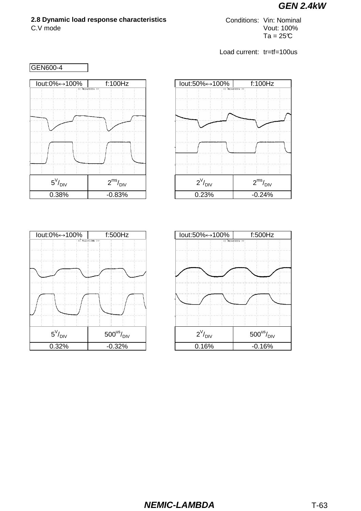## **2.8 Dynamic load response characteristics Conditions: Vin: Nominal**

C.V mode Vout: 100%  $Ta = 25C$ 



| lout:0%↔100%             | f:500Hz                   | lout:50        |
|--------------------------|---------------------------|----------------|
|                          | << Main=100k >>:          |                |
|                          |                           |                |
|                          |                           |                |
|                          |                           |                |
|                          |                           |                |
|                          |                           |                |
|                          |                           |                |
|                          |                           |                |
|                          |                           |                |
|                          |                           |                |
| $5^{\vee}/_{\text{DIV}}$ | $500^{\rm us}\!/_\rm DIV$ | $\overline{c}$ |
| 0.32%                    | $-0.32%$                  | 0.             |

| lout:50%↔100%        |  | f:100Hz                |  |
|----------------------|--|------------------------|--|
|                      |  | << Main: 100k >>:      |  |
|                      |  |                        |  |
|                      |  |                        |  |
|                      |  |                        |  |
|                      |  |                        |  |
|                      |  |                        |  |
|                      |  |                        |  |
|                      |  |                        |  |
|                      |  |                        |  |
| $2^V$ <sub>DIV</sub> |  | $2^{ms}/_{\text{DIV}}$ |  |
| 0.23%                |  | $-0.24%$               |  |

| lout:50%↔100%       |  |                                 |  |                                                    | f:500Hz |  |  |  |
|---------------------|--|---------------------------------|--|----------------------------------------------------|---------|--|--|--|
|                     |  |                                 |  | $\overline{\langle\langle}$ Main: 100k $\rangle$ : |         |  |  |  |
|                     |  |                                 |  |                                                    |         |  |  |  |
|                     |  |                                 |  |                                                    |         |  |  |  |
|                     |  |                                 |  |                                                    |         |  |  |  |
|                     |  |                                 |  |                                                    |         |  |  |  |
|                     |  |                                 |  |                                                    |         |  |  |  |
|                     |  |                                 |  |                                                    |         |  |  |  |
|                     |  |                                 |  |                                                    |         |  |  |  |
|                     |  |                                 |  |                                                    |         |  |  |  |
|                     |  |                                 |  |                                                    |         |  |  |  |
|                     |  |                                 |  |                                                    |         |  |  |  |
| $2^V\!/_\text{DIV}$ |  | $500^{\text{us}}/_{\text{DIV}}$ |  |                                                    |         |  |  |  |
| 0.16%               |  | $-0.16%$                        |  |                                                    |         |  |  |  |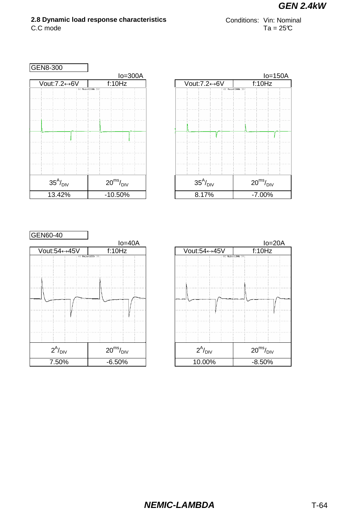## **2.8 Dynamic load response characteristics** Conditions: Vin: Nominal

 $C.C$  mode Ta = 25°C

| GEN8-300             |                         |                              |
|----------------------|-------------------------|------------------------------|
|                      | $Io = 300A$             |                              |
| Vout:7.2↔6V          | f:10Hz                  | $\overline{\text{Vout}}$ :7. |
|                      | << Main>200k >>:        |                              |
|                      |                         |                              |
|                      |                         |                              |
|                      |                         |                              |
|                      |                         |                              |
|                      |                         |                              |
|                      |                         |                              |
|                      |                         |                              |
| $35^A/_{\text{DIV}}$ | $20^{ms}/_{\text{DIV}}$ | $35^A$                       |
| 13.42%               | $-10.50%$               | 8.1                          |



| GEN60-40              |                          |  |                       |        |                  |                          |
|-----------------------|--------------------------|--|-----------------------|--------|------------------|--------------------------|
|                       | $Io=40A$                 |  |                       |        |                  | $I$ o=                   |
| Vout:54↔45V           | f:10Hz                   |  | Vout:54↔45V           | f:10Hz |                  |                          |
|                       | << Main:100k >>:         |  |                       |        | << Main:100k >>: |                          |
|                       |                          |  |                       |        |                  |                          |
|                       |                          |  |                       |        |                  |                          |
|                       |                          |  |                       |        |                  |                          |
|                       |                          |  |                       |        |                  |                          |
|                       |                          |  |                       |        |                  |                          |
|                       |                          |  |                       |        |                  |                          |
|                       |                          |  |                       |        |                  |                          |
|                       |                          |  |                       |        |                  |                          |
|                       |                          |  |                       |        |                  |                          |
|                       |                          |  |                       |        |                  |                          |
|                       |                          |  |                       |        |                  |                          |
| $2^{A}/_{\text{DIV}}$ | $20^{\rm ms}/_{\rm DIV}$ |  | $2^{A}/_{\text{DIV}}$ |        |                  |                          |
|                       |                          |  |                       |        |                  | $20^{\rm ms}/_{\rm DIV}$ |
| 7.50%                 | $-6.50%$                 |  | 10.00%                |        |                  | $-8.50%$                 |

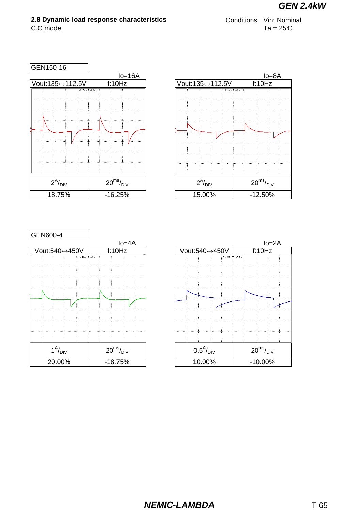# **2.8 Dynamic load response characteristics** Conditions: Vin: Nominal

 $C.C$  mode Ta = 25°C

| GEN150-16                        |                          |                 |
|----------------------------------|--------------------------|-----------------|
|                                  | $Io=16A$                 |                 |
| Vout:135↔112.5V                  | f:10Hz                   | Vout:13         |
|                                  | $<<$ Main: 100k $>>$     |                 |
| $2^{\mathsf{A}}/_{\mathsf{DIV}}$ | $20^{\rm ms}/_{\rm DIV}$ | $\overline{c}$  |
| 18.75%                           | $-16.25%$                | $\overline{15}$ |



| GEN600-4            |                          |                  |
|---------------------|--------------------------|------------------|
|                     | $Io = 4A$                |                  |
| Vout:540↔450V       | f:10Hz                   | Vout:540         |
|                     | $<<$ Main: 100k >>:      |                  |
|                     |                          |                  |
|                     |                          |                  |
|                     |                          |                  |
|                     |                          |                  |
|                     |                          |                  |
|                     |                          |                  |
|                     |                          |                  |
|                     |                          |                  |
|                     |                          |                  |
|                     |                          |                  |
| $1^A/_{\text{DIV}}$ | $20^{\rm ms}/_{\rm DIV}$ | $0.5^{\text{A}}$ |
| 20.00%              | $-18.75%$                | 10.0             |

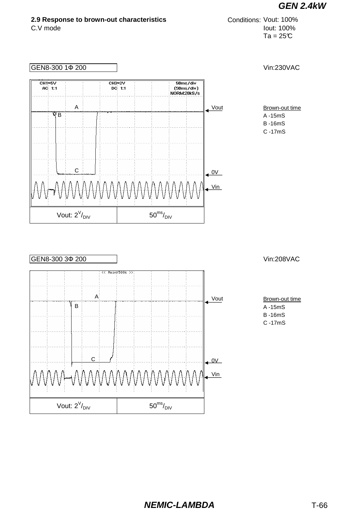#### **2.9 Response to brown-out characteristics**

```
C.V mode Iout: 100%
                    Ta = 25CConditions: Vout: 100%
```




Brown-out time A -15mS

- B -16mS
- C -17mS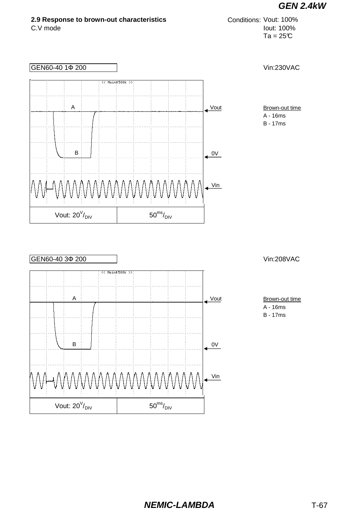

## **NEMIC-LAMBDA** T-67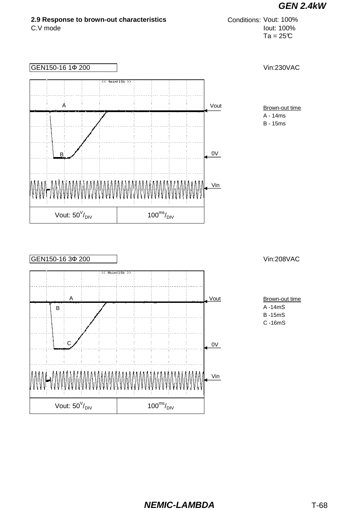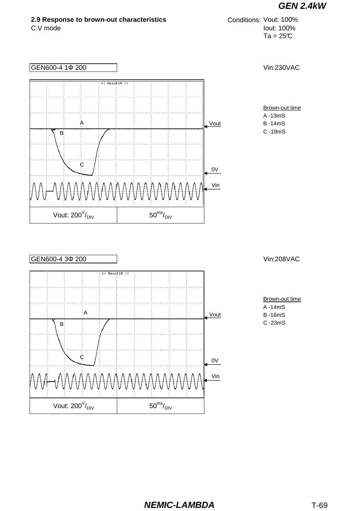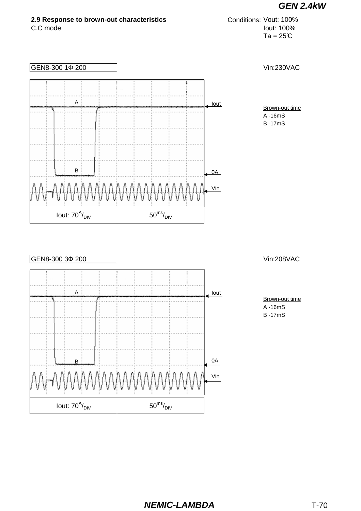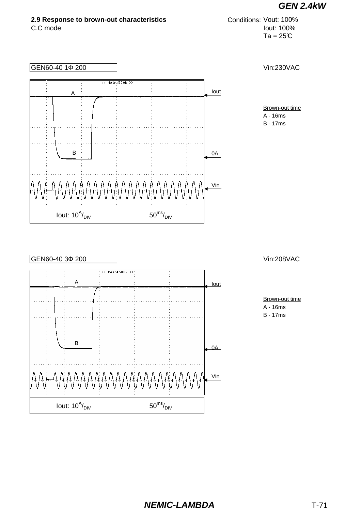

#### **NEMIC-LAMBDA** T-71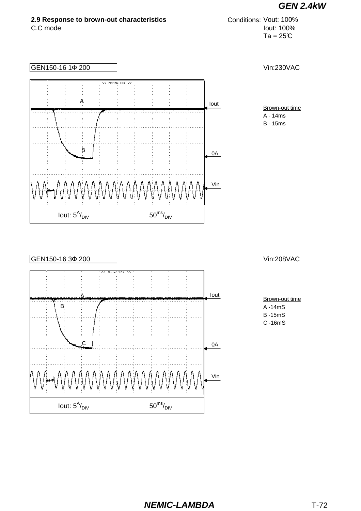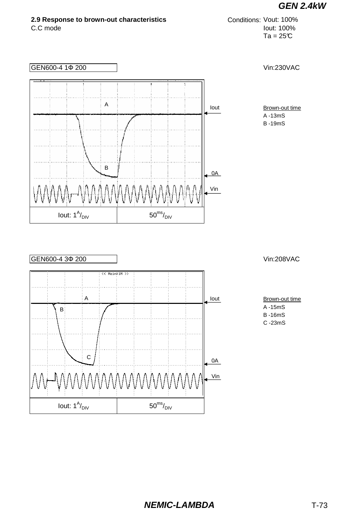

 $50^{ms}/$ <sub>DIV</sub>

Iout:  $1^A/_{\text{DIV}}$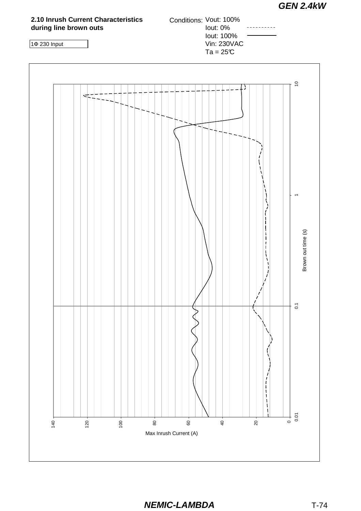

**NEMIC-LAMBDA** T-74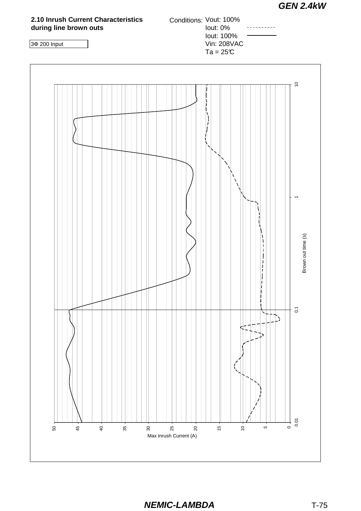

**NEMIC-LAMBDA** T-75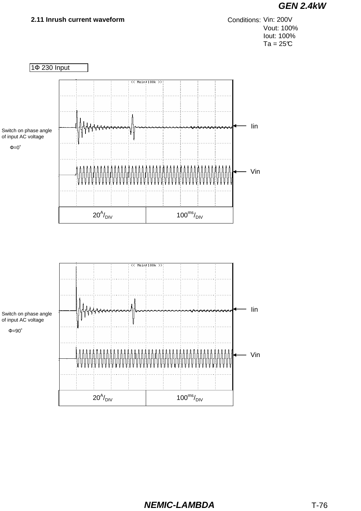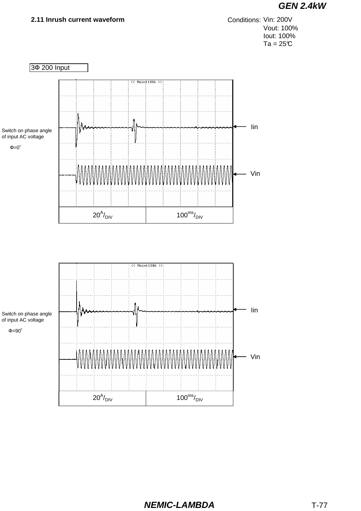

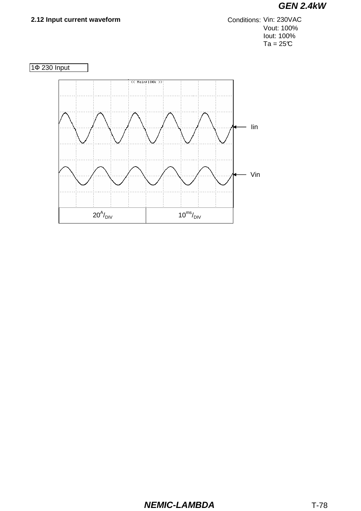#### 2.12 Input current waveform

Conditions: Vin: 230VAC Vout: 100% lout: 100%  $Ta = 25C$ 



### **NEMIC-LAMBDA**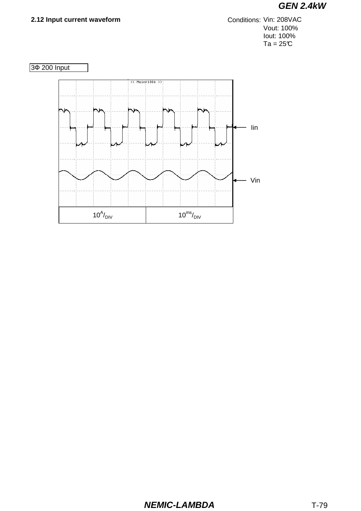#### 2.12 Input current waveform

Conditions: Vin: 208VAC Vout: 100% lout: 100%  $Ta = 25C$ 



### **NEMIC-LAMBDA**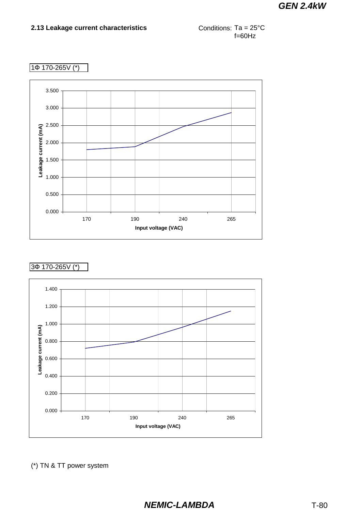

#### 1Ф 170-265V (\*)



#### 3Ф 170-265V (\*)



(\*) TN & TT power system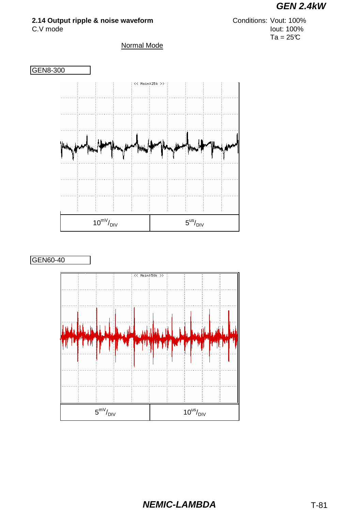

### **2.14 Output ripple & noise waveform**





C.V mode Iout: 100%  $Ta = 25C$ Conditions: Vout: 100%